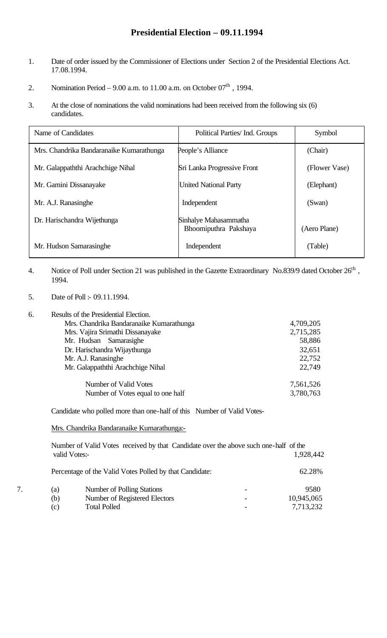# **Presidential Election – 09.11.1994**

- 1. Date of order issued by the Commissioner of Elections under Section 2 of the Presidential Elections Act. 17.08.1994.
- 2. Nomination Period 9.00 a.m. to 11.00 a.m. on October  $07<sup>th</sup>$ , 1994.
- 3. At the close of nominations the valid nominations had been received from the following six (6) candidates.

| Name of Candidates                       | Political Parties/ Ind. Groups                 | Symbol        |
|------------------------------------------|------------------------------------------------|---------------|
| Mrs. Chandrika Bandaranaike Kumarathunga | People's Alliance                              | (Chair)       |
| Mr. Galappaththi Arachchige Nihal        | Sri Lanka Progressive Front                    | (Flower Vase) |
| Mr. Gamini Dissanayake                   | <b>United National Party</b>                   | (Elephant)    |
| Mr. A.J. Ranasinghe                      | Independent                                    | (Swan)        |
| Dr. Harischandra Wijethunga              | Sinhalye Mahasammatha<br>Bhoomiputhra Pakshaya | (Aero Plane)  |
| Mr. Hudson Samarasinghe                  | Independent                                    | (Table)       |

- 4. Notice of Poll under Section 21 was published in the Gazette Extraordinary No.839/9 dated October 26<sup>th</sup>, 1994.
- 5. Date of Poll :- 09.11.1994.
- 6. Results of the Presidential Election.

| Mrs. Chandrika Bandaranaike Kumarathunga | 4,709,205 |
|------------------------------------------|-----------|
| Mrs. Vajira Srimathi Dissanayake         | 2,715,285 |
| Mr. Hudsan Samarasighe                   | 58,886    |
| Dr. Harischandra Wijaythunga             | 32,651    |
| Mr. A.J. Ranasinghe                      | 22,752    |
| Mr. Galappaththi Arachchige Nihal        | 22,749    |
| Number of Valid Votes                    | 7,561,526 |
| Number of Votes equal to one half        | 3,780,763 |

Candidate who polled more than one-half of this Number of Valid Votes-

Mrs. Chandrika Bandaranaike Kumarathunga:-

|     | Number of Valid Votes received by that Candidate over the above such one-half of the<br>valid Votes:- | 1,928,442  |
|-----|-------------------------------------------------------------------------------------------------------|------------|
|     | Percentage of the Valid Votes Polled by that Candidate:                                               | 62.28%     |
| (a) | Number of Polling Stations                                                                            | 9580       |
| (b) | Number of Registered Electors                                                                         | 10,945,065 |
| (c) | <b>Total Polled</b>                                                                                   | 7,713,232  |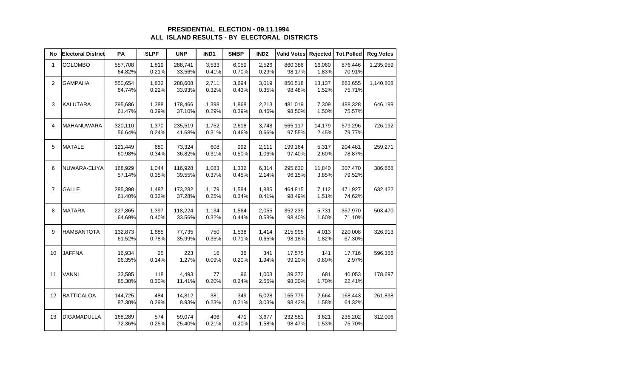# **PRESIDENTIAL ELECTION - 09.11.1994 ALL ISLAND RESULTS - BY ELECTORAL DISTRICTS**

| No             | <b>Electoral District</b> | PA                | <b>SLPF</b>    | <b>UNP</b>        | IND1           | <b>SMBP</b>    | IND <sub>2</sub> | <b>Valid Votes</b> | Rejected        | <b>Tot.Polled</b> | <b>Reg.Votes</b> |
|----------------|---------------------------|-------------------|----------------|-------------------|----------------|----------------|------------------|--------------------|-----------------|-------------------|------------------|
| $\mathbf{1}$   | <b>COLOMBO</b>            | 557,708<br>64.82% | 1,819<br>0.21% | 288,741<br>33.56% | 3,533<br>0.41% | 6,059<br>0.70% | 2,526<br>0.29%   | 860,386<br>98.17%  | 16,060<br>1.83% | 876,446<br>70.91% | 1,235,959        |
| $\overline{2}$ | <b>GAMPAHA</b>            | 550,654<br>64.74% | 1,832<br>0.22% | 288,608<br>33.93% | 2,711<br>0.32% | 3,694<br>0.43% | 3,019<br>0.35%   | 850,518<br>98.48%  | 13,137<br>1.52% | 863,655<br>75.71% | 1,140,808        |
| 3              | <b>KALUTARA</b>           | 295,686<br>61.47% | 1,388<br>0.29% | 178,466<br>37.10% | 1,398<br>0.29% | 1,868<br>0.39% | 2,213<br>0.46%   | 481,019<br>98.50%  | 7,309<br>1.50%  | 488,328<br>75.57% | 646,199          |
| 4              | MAHANUWARA                | 320,110<br>56.64% | 1,370<br>0.24% | 235,519<br>41.68% | 1,752<br>0.31% | 2,618<br>0.46% | 3,748<br>0.66%   | 565,117<br>97.55%  | 14,179<br>2.45% | 579,296<br>79.77% | 726,192          |
| 5              | <b>MATALE</b>             | 121,449<br>60.98% | 680<br>0.34%   | 73,324<br>36.82%  | 608<br>0.31%   | 992<br>0.50%   | 2,111<br>1.06%   | 199,164<br>97.40%  | 5,317<br>2.60%  | 204,481<br>78.87% | 259,271          |
| 6              | NUWARA-ELIYA              | 168,929<br>57.14% | 1,044<br>0.35% | 116,928<br>39.55% | 1,083<br>0.37% | 1,332<br>0.45% | 6,314<br>2.14%   | 295,630<br>96.15%  | 11,840<br>3.85% | 307,470<br>79.52% | 386,668          |
| $\overline{7}$ | <b>GALLE</b>              | 285,398<br>61.40% | 1,487<br>0.32% | 173,282<br>37.28% | 1,179<br>0.25% | 1,584<br>0.34% | 1,885<br>0.41%   | 464,815<br>98.49%  | 7,112<br>1.51%  | 471,927<br>74.62% | 632,422          |
| 8              | <b>MATARA</b>             | 227,865<br>64.69% | 1,397<br>0.40% | 118,224<br>33.56% | 1,134<br>0.32% | 1,564<br>0.44% | 2,055<br>0.58%   | 352,239<br>98.40%  | 5,731<br>1.60%  | 357,970<br>71.10% | 503,470          |
| 9              | <b>HAMBANTOTA</b>         | 132,873<br>61.52% | 1,685<br>0.78% | 77,735<br>35.99%  | 750<br>0.35%   | 1,538<br>0.71% | 1,414<br>0.65%   | 215,995<br>98.18%  | 4,013<br>1.82%  | 220,008<br>67.30% | 326,913          |
| 10             | <b>JAFFNA</b>             | 16,934<br>96.35%  | 25<br>0.14%    | 223<br>1.27%      | 16<br>0.09%    | 36<br>0.20%    | 341<br>1.94%     | 17,575<br>99.20%   | 141<br>0.80%    | 17,716<br>2.97%   | 596,366          |
| 11             | <b>VANNI</b>              | 33,585<br>85.30%  | 118<br>0.30%   | 4,493<br>11.41%   | 77<br>0.20%    | 96<br>0.24%    | 1,003<br>2.55%   | 39,372<br>98.30%   | 681<br>1.70%    | 40,053<br>22.41%  | 178,697          |
| 12             | <b>BATTICALOA</b>         | 144,725<br>87.30% | 484<br>0.29%   | 14,812<br>8.93%   | 381<br>0.23%   | 349<br>0.21%   | 5,028<br>3.03%   | 165,779<br>98.42%  | 2,664<br>1.58%  | 168,443<br>64.32% | 261,898          |
| 13             | <b>DIGAMADULLA</b>        | 168,289<br>72.36% | 574<br>0.25%   | 59,074<br>25.40%  | 496<br>0.21%   | 471<br>0.20%   | 3,677<br>1.58%   | 232,581<br>98.47%  | 3,621<br>1.53%  | 236,202<br>75.70% | 312,006          |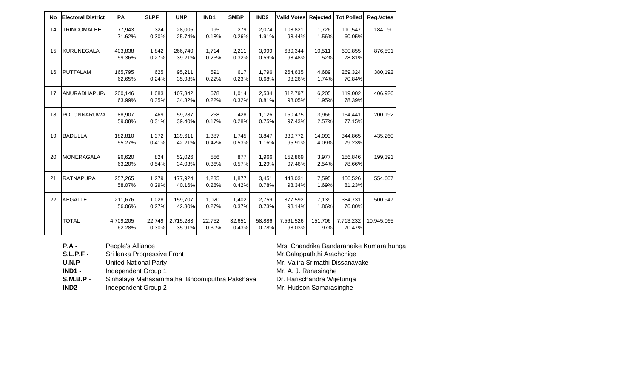| No | <b>Electoral District</b> | <b>PA</b>           | <b>SLPF</b>     | <b>UNP</b>          | IND <sub>1</sub> | <b>SMBP</b>     | IND <sub>2</sub> | <b>Valid Votes</b>  | Rejected         | <b>Tot.Polled</b>   | <b>Reg.Votes</b> |
|----|---------------------------|---------------------|-----------------|---------------------|------------------|-----------------|------------------|---------------------|------------------|---------------------|------------------|
| 14 | <b>TRINCOMALEE</b>        | 77,943<br>71.62%    | 324<br>0.30%    | 28,006<br>25.74%    | 195<br>0.18%     | 279<br>0.26%    | 2,074<br>1.91%   | 108,821<br>98.44%   | 1,726<br>1.56%   | 110,547<br>60.05%   | 184,090          |
| 15 | <b>KURUNEGALA</b>         | 403,838<br>59.36%   | 1,842<br>0.27%  | 266.740<br>39.21%   | 1.714<br>0.25%   | 2,211<br>0.32%  | 3.999<br>0.59%   | 680.344<br>98.48%   | 10.511<br>1.52%  | 690.855<br>78.81%   | 876,591          |
| 16 | <b>PUTTALAM</b>           | 165,795<br>62.65%   | 625<br>0.24%    | 95,211<br>35.98%    | 591<br>0.22%     | 617<br>0.23%    | 1,796<br>0.68%   | 264,635<br>98.26%   | 4.689<br>1.74%   | 269,324<br>70.84%   | 380,192          |
| 17 | <b>ANURADHAPUR</b>        | 200.146<br>63.99%   | 1.083<br>0.35%  | 107.342<br>34.32%   | 678<br>0.22%     | 1.014<br>0.32%  | 2,534<br>0.81%   | 312,797<br>98.05%   | 6.205<br>1.95%   | 119,002<br>78.39%   | 406.926          |
| 18 | POLONNARUWA               | 88,907<br>59.08%    | 469<br>0.31%    | 59,287<br>39.40%    | 258<br>0.17%     | 428<br>0.28%    | 1,126<br>0.75%   | 150,475<br>97.43%   | 3,966<br>2.57%   | 154,441<br>77.15%   | 200,192          |
| 19 | <b>BADULLA</b>            | 182,810<br>55.27%   | 1,372<br>0.41%  | 139,611<br>42.21%   | 1,387<br>0.42%   | 1,745<br>0.53%  | 3.847<br>1.16%   | 330,772<br>95.91%   | 14,093<br>4.09%  | 344,865<br>79.23%   | 435,260          |
| 20 | <b>MONERAGALA</b>         | 96,620<br>63.20%    | 824<br>0.54%    | 52,026<br>34.03%    | 556<br>0.36%     | 877<br>0.57%    | 1,966<br>1.29%   | 152,869<br>97.46%   | 3,977<br>2.54%   | 156,846<br>78.66%   | 199,391          |
| 21 | <b>RATNAPURA</b>          | 257,265<br>58.07%   | 1,279<br>0.29%  | 177.924<br>40.16%   | 1,235<br>0.28%   | 1.877<br>0.42%  | 3,451<br>0.78%   | 443.031<br>98.34%   | 7.595<br>1.69%   | 450.526<br>81.23%   | 554,607          |
| 22 | <b>KEGALLE</b>            | 211,676<br>56.06%   | 1,028<br>0.27%  | 159,707<br>42.30%   | 1,020<br>0.27%   | 1,402<br>0.37%  | 2,759<br>0.73%   | 377,592<br>98.14%   | 7,139<br>1.86%   | 384,731<br>76.80%   | 500,947          |
|    | <b>TOTAL</b>              | 4,709,205<br>62.28% | 22,749<br>0.30% | 2,715,283<br>35.91% | 22.752<br>0.30%  | 32.651<br>0.43% | 58,886<br>0.78%  | 7,561,526<br>98.03% | 151,706<br>1.97% | 7,713,232<br>70.47% | 10,945,065       |

Sri lanka Progressive Front **Mr.Galappaththi Arachchige** 

**U.N.P -** United National Party Mr. Vajira Srimathi Dissanayake

**IND1 -** Independent Group 1 MD1 - Independent Group 1<br>
S.M.B.P - Sinhalaye Mahasammatha Bhoomiputhra Pakshaya Dr. Harischandra Wijetunga Sinhalaye Mahasammatha Bhoomiputhra Pakshaya

**IND2 -** Independent Group 2 Mr. Hudson Samarasinghe

**P.A -** People's Alliance Post Chandrika Bandaranaike Kumarathunga<br> **S.L.P.F -** Sri lanka Progressive Front Mr. Galappaththi Arachchige

- 
-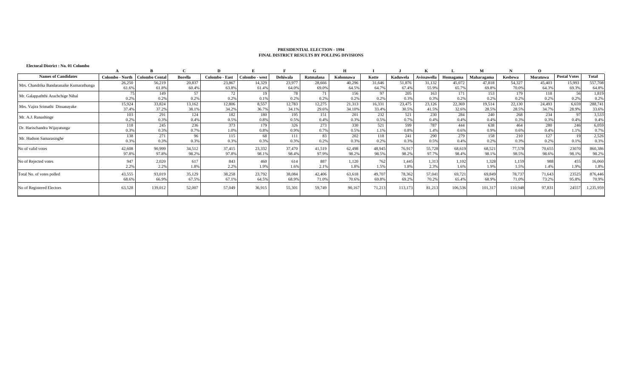|                 | B                                                                 | C                                                                                                          | D                                                                              | Е                                                                              |                                                                 | G                                                                    |                                                                                  |                                                                                           |                                                                                       | A                                                                                        |                                                                                          | М                                                                                 | N                                                                                        | $\mathbf{O}$                                                    |                                                                                                             |                                                                             |
|-----------------|-------------------------------------------------------------------|------------------------------------------------------------------------------------------------------------|--------------------------------------------------------------------------------|--------------------------------------------------------------------------------|-----------------------------------------------------------------|----------------------------------------------------------------------|----------------------------------------------------------------------------------|-------------------------------------------------------------------------------------------|---------------------------------------------------------------------------------------|------------------------------------------------------------------------------------------|------------------------------------------------------------------------------------------|-----------------------------------------------------------------------------------|------------------------------------------------------------------------------------------|-----------------------------------------------------------------|-------------------------------------------------------------------------------------------------------------|-----------------------------------------------------------------------------|
| Colombo - North |                                                                   | <b>Borella</b>                                                                                             | Colombo - East                                                                 | Colombo - west                                                                 | Dehiwala                                                        | Ratmalana                                                            | Kolonnawa                                                                        | Kotte                                                                                     | Kaduwela                                                                              | Avissawella                                                                              | Homagama                                                                                 | Maharagama                                                                        | Kesbewa                                                                                  | Moratuwa                                                        | <b>Postal Votes</b>                                                                                         | Total                                                                       |
| 26,250          | 56,219                                                            | 20,837                                                                                                     | 23,867                                                                         | 14,329                                                                         | 23,977                                                          | 28.666                                                               | 40,296                                                                           | 31.646                                                                                    | 51,876                                                                                | 31,132                                                                                   | 45,072                                                                                   | 47,818                                                                            | 54,327                                                                                   | 45.403                                                          | 15,993                                                                                                      | 557,708                                                                     |
|                 |                                                                   |                                                                                                            |                                                                                |                                                                                |                                                                 |                                                                      |                                                                                  |                                                                                           |                                                                                       |                                                                                          |                                                                                          |                                                                                   |                                                                                          |                                                                 |                                                                                                             | 64.8%                                                                       |
|                 |                                                                   |                                                                                                            |                                                                                |                                                                                |                                                                 |                                                                      |                                                                                  |                                                                                           |                                                                                       |                                                                                          |                                                                                          |                                                                                   |                                                                                          |                                                                 |                                                                                                             | 1,819                                                                       |
|                 |                                                                   |                                                                                                            |                                                                                |                                                                                |                                                                 |                                                                      |                                                                                  |                                                                                           |                                                                                       |                                                                                          |                                                                                          |                                                                                   |                                                                                          |                                                                 |                                                                                                             | 0.2%                                                                        |
|                 |                                                                   |                                                                                                            |                                                                                |                                                                                |                                                                 |                                                                      |                                                                                  |                                                                                           |                                                                                       |                                                                                          |                                                                                          |                                                                                   |                                                                                          |                                                                 |                                                                                                             | 288,741                                                                     |
|                 |                                                                   |                                                                                                            |                                                                                |                                                                                |                                                                 |                                                                      |                                                                                  |                                                                                           |                                                                                       |                                                                                          |                                                                                          |                                                                                   |                                                                                          |                                                                 |                                                                                                             | 33.6%                                                                       |
| 103             |                                                                   | 124                                                                                                        |                                                                                | 180                                                                            |                                                                 | 151                                                                  |                                                                                  |                                                                                           |                                                                                       |                                                                                          |                                                                                          |                                                                                   |                                                                                          |                                                                 |                                                                                                             | 3,533                                                                       |
|                 |                                                                   | 0.4%                                                                                                       |                                                                                |                                                                                |                                                                 |                                                                      |                                                                                  |                                                                                           |                                                                                       |                                                                                          |                                                                                          |                                                                                   |                                                                                          |                                                                 |                                                                                                             | 0.4%                                                                        |
| 118             | 245                                                               |                                                                                                            |                                                                                | 179                                                                            |                                                                 |                                                                      |                                                                                  |                                                                                           |                                                                                       |                                                                                          | 444                                                                                      |                                                                                   | 464                                                                                      |                                                                 | 246                                                                                                         | 6,059                                                                       |
| 0.3%            | 0.3%                                                              |                                                                                                            | 1.0%                                                                           | 0.8%                                                                           | 0.9%                                                            |                                                                      | 0.5%                                                                             | 1.1%                                                                                      | 0.8%                                                                                  | 1.4%                                                                                     | 0.6%                                                                                     | 0.9%                                                                              | 0.6%                                                                                     | 0.4%                                                            | 1.1%                                                                                                        | 0.7%                                                                        |
| 138             | 271                                                               | 96                                                                                                         | 115                                                                            | 68                                                                             | 111                                                             | 83                                                                   | 202                                                                              | 118                                                                                       | 241                                                                                   | 290                                                                                      | 279                                                                                      | 158                                                                               | 210                                                                                      | 127                                                             |                                                                                                             | 2,526                                                                       |
|                 |                                                                   |                                                                                                            |                                                                                |                                                                                |                                                                 |                                                                      |                                                                                  |                                                                                           |                                                                                       |                                                                                          |                                                                                          |                                                                                   | 0.3%                                                                                     |                                                                 |                                                                                                             | 0.3%                                                                        |
| 42,608          | 90,999                                                            | 34.512                                                                                                     | 37,415                                                                         | 23,332                                                                         | 37,470                                                          | 41,519                                                               | 62,498                                                                           | 48,945                                                                                    | 76,917                                                                                | 55,728                                                                                   | 68,619                                                                                   | 68,521                                                                            |                                                                                          | 70,655                                                          | 23070                                                                                                       | 860,386                                                                     |
| 97.8%           | 97.8%                                                             | 98.2%                                                                                                      | 97.8%                                                                          | 98.1%                                                                          | 98.4%                                                           | 97.9%                                                                | 98.2%                                                                            | 98.5%                                                                                     | 98.2%                                                                                 | 97.7%                                                                                    | 98.4%                                                                                    | 98.1%                                                                             | 98.5%                                                                                    | 98.6%                                                           | 98.1%                                                                                                       | 98.2%                                                                       |
|                 |                                                                   |                                                                                                            | 843                                                                            | 460                                                                            | 614                                                             |                                                                      |                                                                                  |                                                                                           |                                                                                       |                                                                                          |                                                                                          |                                                                                   |                                                                                          |                                                                 |                                                                                                             | 16,060                                                                      |
| 2.2%            | 2.2%                                                              | 1.8%                                                                                                       | 2.2%                                                                           | 1.9%                                                                           | 1.6%                                                            | 2.1%                                                                 | 1.8%                                                                             | 1.5%                                                                                      | 1.8%                                                                                  | 2.3%                                                                                     | 1.6%                                                                                     | 1.9%                                                                              | 1.5%                                                                                     | 1.4%                                                            | 1.9%                                                                                                        | 1.8%                                                                        |
|                 |                                                                   |                                                                                                            |                                                                                |                                                                                | 38,084                                                          |                                                                      |                                                                                  |                                                                                           |                                                                                       |                                                                                          |                                                                                          |                                                                                   | 78,737                                                                                   |                                                                 |                                                                                                             | 876,446                                                                     |
| 68.69           | 66.9%                                                             | 67.5%                                                                                                      | 67.1%                                                                          | 64.5%                                                                          | 68.9%                                                           | 71.0%                                                                | 70.6%                                                                            | 69.8%                                                                                     | 69.2%                                                                                 | 70.2%                                                                                    | 65.4%                                                                                    | 68.9%                                                                             | 71.0%                                                                                    | 73.2%                                                           | 95.8%                                                                                                       | 70.9%                                                                       |
| 63,528          | 139,012                                                           | 52,007                                                                                                     | 57,049                                                                         | 36,915                                                                         | 55,301                                                          | 59,749                                                               | 90,167                                                                           | 71,21                                                                                     | 113,173                                                                               | 81,213                                                                                   | 106,536                                                                                  | 101,31                                                                            |                                                                                          | 97,831                                                          | 24557                                                                                                       | 1,235,959                                                                   |
|                 | 61.6%<br>0.2%<br>15,924<br>37.4%<br>0.2%<br>0.3%<br>947<br>43,555 | <b>Colombo Cental</b><br>61.8%<br>149<br>0.2%<br>33,824<br>37.2%<br>291<br>0.3%<br>0.3%<br>2,020<br>93,019 | 60.4%<br>57<br>0.2%<br>13,162<br>38.1%<br>236<br>0.7%<br>0.3%<br>617<br>35,129 | 63.8%<br>72<br>0.2%<br>12,806<br>34.2%<br>182<br>0.5%<br>373<br>0.3%<br>38,258 | 61.4%<br>19<br>0.1%<br>8,557<br>36.7%<br>0.8%<br>0.3%<br>23,792 | 64.0%<br>78<br>0.2%<br>12,783<br>34.1%<br>195<br>0.5%<br>326<br>0.3% | 69.0%<br>0.2%<br>12,275<br>29.6%<br>0.4%<br>273<br>0.7%<br>0.2%<br>887<br>42,406 | 64.5%<br>156<br>0.2%<br>21,313<br>34.10%<br>201<br>0.3%<br>330<br>0.3%<br>1.120<br>63,618 | 64.7%<br>97<br>0.2%<br>16,331<br>33.4%<br>232<br>0.5%<br>521<br>0.2%<br>762<br>49,707 | 67.4%<br>205<br>0.3%<br>23,475<br>30.5%<br>521<br>0.7%<br>599<br>0.3%<br>1,445<br>78,362 | 55.9%<br>163<br>0.3%<br>23,126<br>41.5%<br>230<br>0.4%<br>787<br>0.5%<br>1,313<br>57,041 | 65.7%<br>171<br>0.2%<br>22,369<br>32.6%<br>284<br>0.4%<br>0.4%<br>1,102<br>69,721 | 69.8%<br>153<br>0.2%<br>19,514<br>28.5%<br>240<br>0.4%<br>638<br>0.2%<br>1,328<br>69,849 | 70.0%<br>179<br>0.2%<br>22,130<br>28.5%<br>268<br>0.3%<br>1,159 | 64.3%<br>118<br>0.2%<br>24,493<br>34.7%<br>234<br>0.3%<br>280<br>0.2%<br>77,578<br>988<br>71,643<br>110,948 | 69.3%<br>56<br>0.2%<br>6.659<br>28.9%<br>97<br>0.4%<br>0.1%<br>455<br>23525 |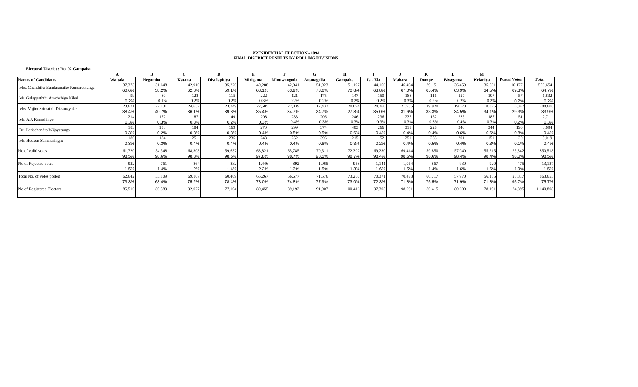# **Electoral District : No. 02 Gampaha**

|                                          |         |         |        | D            |          |             |             | н       |          |        |        |          | М        |                     |              |
|------------------------------------------|---------|---------|--------|--------------|----------|-------------|-------------|---------|----------|--------|--------|----------|----------|---------------------|--------------|
| <b>Names of Candidates</b>               | Wattala | Negombo | Katana | Divulapitiva | Mirigama | Minuwangoda | Attanagalla | Gampaha | Ja - Ela | Mahara | Dompe  | Biyagama | Kelaniva | <b>Postal Votes</b> | <b>Total</b> |
| Mrs. Chandrika Bandaranaike Kumarathunga | 37,373  | 31,648  | 42.916 | 35.220       | 40.288   | 42,04       | 51,923      | 51.19   | 44.166   | 46,494 | 39,151 | 36,459   | 35,601   | 16,177              | 550,654      |
|                                          | 60.6%   | 58.2%   | 62.8%  | 59.1%        | 63.1%    | 63.9%       | 73.6%       | 70.8%   | 63.8%    | 67.0%  | 65.4%  | 63.9%    | 64.5%    | 69.3%               | 64.7%        |
| Mr. Galappaththi Arachchige Nihal        |         | 80      | 128    | 115          | 222      | 121         | 175         | 147     | 150      | 188    | 116    | 127      | 107      | 57                  | 1,832        |
|                                          | 0.2%    | 0.1%    | 0.2%   | 0.2%         | 0.3%     | 0.29        | 0.2%        | 0.2%    | 0.29     | 0.3%   | 0.2%   | 0.2%     | 0.2%     | 0.2%                | 0.2%         |
| Mrs. Vajira Srimathi Dissanayake         | 23,67   | 22,131  | 24,637 | 23,749       | 22,585   | 22,839      | 17,437      | 20,094  | 24,260   | 21,935 | 19,920 | 19,678   | 18,825   | 6,847               | 288,608      |
|                                          | 38.4%   | 40.7%   | 36.1%  | 39.8%        | 35.4%    | 34.7%       | 24.7%       | 27.8%   | 35.0%    | 31.6%  | 33.3%  | 34.5%    | 34.1%    | 29.3%               | 33.9%        |
| Mr. A.J. Ranashinge                      | 214     | 172     | 187    | 149          | 208      | 233         | 206         | 246     | 236      | 235    | 152    | 235      | 187      | 51                  | 2,711        |
|                                          | 0.3%    | 0.3%    | 0.3%   | 0.2%         | 0.3%     | 0.4%        | 0.3%        | 0.3%    | 0.39     | 0.3%   | 0.3%   | 0.49     | 0.3%     | 0.2%                | 0.3%         |
| Dr. Harischandra Wijayatunga             | 183     | 133     | 184    | 169          | 270      | 299         | 374         | 403     | 266      | 311    | 228    | 340      | 344      | 190                 | 3,694        |
|                                          | 0.3%    | 0.2%    | 0.3%   | 0.3%         | 0.4%     | 0.5%        | 0.5%        | 0.6%    | 0.4%     | 0.4%   | 0.4%   | 0.6%     | 0.6%     | 0.8%                | 0.4%         |
| Mr. Hudson Samarasinghe                  | 180     | 184     | 251    | 235          | 248      | 252         | 396         | 215     | 152      | 251    | 283    | 201      | 151      | 20                  | 3,019        |
|                                          | 0.3%    | 0.3%    | 0.4%   | 0.4%         | 0.4%     | 0.4%        | 0.6%        | 0.3%    | 0.2%     | 0.4%   | 0.5%   | 0.4%     | 0.3%     | 0.1%                | 0.4%         |
| No of valid votes                        | 61,72   | 54,348  | 68.30  | 59,637       | 63,821   | 65,785      | 70,51       | 72,302  | 69,230   | 69,414 | 59,850 | 57,040   | 55,215   | 23,342              | 850,518      |
|                                          | 98.5%   | 98.6%   | 98.8%  | 98.6%        | 97.8%    | 98.7%       | 98.5%       | 98.7%   | 98.4%    | 98.5%  | 98.6%  | 98.4%    | 98.4%    | 98.0%               | 98.5%        |
| No of Rejected votes                     | 922     | 761     | 864    | 832          | 1,446    | 892         | 1,065       | 958     | 1,141    | 1,064  | 867    | 930      | 920      | 475                 | 13,137       |
|                                          | 1.5%    | 1.4%    | 1.2%   | 1.4%         | 2.2%     | 1.3%        | 1.5%        | 1.3%    | 1.6%     | 1.5%   | 1.4%   | 1.6%     | 1.6%     | 1.9%                | 1.5%         |
| Total No. of votes polled                | 62,642  | 55,109  | 69,167 | 60,469       | 65,267   | 66,677      | 71,576      | 73,260  | 70,371   | 70,478 | 60.717 | 57,970   | 56,135   | 23,817              | 863,655      |
|                                          | 73.3%   | 68.4%   | 75.2%  | 78.4%        | 73.0%    | 74.8%       | 77.9%       | 73.0%   | 72.3%    | 71.8%  | 75.5%  | 71.9%    | 71.8%    | 95.7%               | 75.7%        |
| No of Registered Electors                | 85,51   | 80,589  | 92,02  | 77,104       | 89,455   | 89,192      | 91,907      | 100,416 | 97,30:   | 98,091 | 80,415 | 80,600   | 78,191   | 24,895              | 1,140,808    |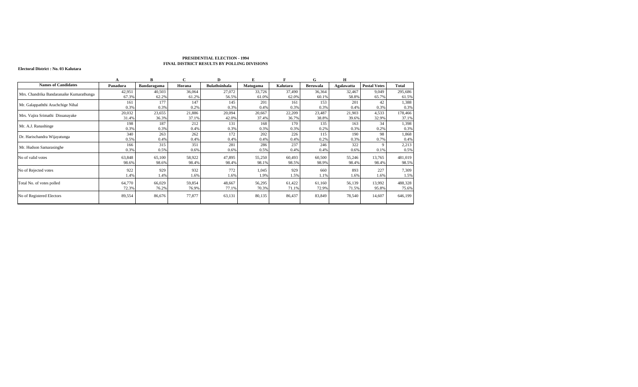#### **Electoral District : No. 03 Kalutara**

|                                          |          | B           | C      | D                    | Е        | E        | G               | H          |                     |         |
|------------------------------------------|----------|-------------|--------|----------------------|----------|----------|-----------------|------------|---------------------|---------|
| <b>Names of Candidates</b>               | Panadura | Bandaragama | Horana | <b>Bulathsinhala</b> | Matugama | Kalutara | <b>Beruwala</b> | Agalawatta | <b>Postal Votes</b> | Total   |
| Mrs. Chandrika Bandaranaike Kumarathunga | 42,951   | 40,503      | 36,064 | 27,072               | 33,726   | 37,490   | 36,364          | 32,467     | 9,049               | 295,686 |
|                                          | 67.3%    | 62.2%       | 61.2%  | 56.5%                | 61.0%    | 62.0%    | 60.1%           | 58.8%      | 65.7%               | 61.5%   |
| Mr. Galappaththi Arachchige Nihal        | 161      | 177         | 147    | 145                  | 201      | 161      | 153             | 201        | 42                  | 1,388   |
|                                          | 0.3%     | 0.3%        | 0.2%   | 0.3%                 | 0.4%     | 0.3%     | 0.3%            | 0.4%       | 0.3%                | 0.3%    |
| Mrs. Vajira Srimathi Dissanayake         | 20,032   | 23,655      | 21,886 | 20,094               | 20,667   | 22,209   | 23,487          | 21,903     | 4,533               | 178,466 |
|                                          | 31.4%    | 36.3%       | 37.1%  | 42.0%                | 37.4%    | 36.7%    | 38.8%           | 39.6%      | 32.9%               | 37.1%   |
| Mr. A.J. Ranashinge                      | 198      | 187         | 212    | 131                  | 168      | 170      | 135             | 163        | 34                  | 1,398   |
|                                          | 0.3%     | 0.3%        | 0.4%   | 0.3%                 | 0.3%     | 0.3%     | 0.2%            | 0.3%       | 0.2%                | 0.3%    |
| Dr. Harischandra Wijayatunga             | 340      | 263         | 262    | 172                  | 202      | 226      | 115             | 190        | 98                  | 1,868   |
|                                          | 0.5%     | 0.4%        | 0.4%   | 0.4%                 | 0.4%     | 0.4%     | 0.2%            | 0.3%       | 0.7%                | 0.4%    |
| Mr. Hudson Samarasinghe                  | 166      | 315         | 351    | 281                  | 286      | 237      | 246             | 322        |                     | 2,213   |
|                                          | 0.3%     | 0.5%        | 0.6%   | 0.6%                 | 0.5%     | 0.4%     | 0.4%            | 0.6%       | 0.1%                | 0.5%    |
| No of valid votes                        | 63,848   | 65,100      | 58,922 | 47,895               | 55,250   | 60,493   | 60,500          | 55,246     | 13,765              | 481,019 |
|                                          | 98.6%    | 98.6%       | 98.4%  | 98.4%                | 98.1%    | 98.5%    | 98.9%           | 98.4%      | 98.4%               | 98.5%   |
| No of Rejected votes                     | 922      | 929         | 932    | 772                  | 1,045    | 929      | 660             | 893        | 227                 | 7,309   |
|                                          | 1.4%     | 1.4%        | 1.6%   | 1.6%                 | 1.9%     | 1.5%     | 1.1%            | .6%        | 1.6%                | 1.5%    |
| Total No. of votes polled                | 64,770   | 66,029      | 59,854 | 48,667               | 56,295   | 61,422   | 61,160          | 56,139     | 13,992              | 488,328 |
|                                          | 72.3%    | 76.2%       | 76.9%  | 77.1%                | 70.3%    | 71.1%    | 72.9%           | 71.5%      | 95.8%               | 75.6%   |
| No of Registered Electors                | 89,554   | 86,676      | 77,877 | 63,131               | 80,135   | 86,437   | 83,849          | 78,540     | 14,607              | 646,199 |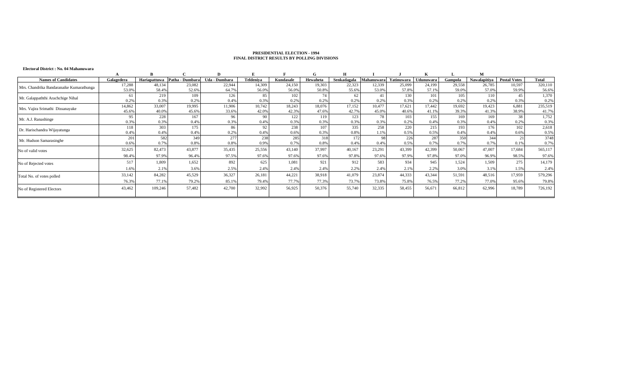#### **Electoral District : No. 04 Mahanuwara**

| <b>Names of Candidates</b>               | Galagedera       | Hariapattuwa | Patha - Dumbara | Uda - Dumbara | Teldeniya | Kundasale | Hewaheta | Senkadagala | Mahanuwara | Yatinuwara | Udunuwara | Gampola | Nawalapitiya | <b>Postal Votes</b> | <b>Total</b> |
|------------------------------------------|------------------|--------------|-----------------|---------------|-----------|-----------|----------|-------------|------------|------------|-----------|---------|--------------|---------------------|--------------|
| Mrs. Chandrika Bandaranaike Kumarathunga | 17,288           | 48,134       | 23,082          | 22,944        | 14,309    | 24,150    | 19,303   | 22,323      | 12,339     | 25,099     | 24,199    | 29,558  | 26,785       | 10,597              | 320,110      |
|                                          | 53.09            | 58.4%        | 52.6%           | 64.7%         | 56.0%     | 56.0%     | 50.8%    | 55.6%       | 53.0%      | 57.8%      | 57.1%     | 59.09   | 57.0%        | 59.9%               | 56.6%        |
| Mr. Galappaththi Arachchige Nihal        |                  | 219          | 109             | 126           | 85        | 102       | 74       | 62          | 41         | 130        | 101       | 105     | 110          | 45                  | 1,370        |
|                                          | 0.29             | 0.3%         | 0.2%            | 0.4%          | 0.3%      | 0.2%      | 0.2%     | 0.29        | 0.29       | 0.3%       | 0.2%      | 0.2%    | 0.2%         | 0.3%                | 0.2%         |
| Mrs. Vajira Srimathi Dissanayake         | 14,862           | 33,007       | 19,995          | 11,906        | 10,742    | 18,243    | 18,076   | 17.152      | 10,477     | 17,621     | 17,442    | 19,692  | 19,423       | 6,881               | 235,519      |
|                                          | 45.69            | 40.09        | 45.6%           | 33.6%         | 42.0%     | 42.3%     | 47.6%    | 42.79       | 45.0%      | 40.6%      | 41.1%     | 39.3%   | 41.3%        | 38.9%               | 41.7%        |
| Mr. A.J. Ranashinge                      | 95               | 228          | 167             | 96            | 90        | 122       | 119      | 123         | 78         | 103        | 155       | 169     | 169          | 38                  | 1,752        |
|                                          | 0.39             | 0.3%         | 0.4%            | 0.3%          | 0.4%      | 0.3%      | 0.3%     | 0.3%        | 0.3%       | 0.2%       | 0.4%      | 0.3%    | 0.4%         | 0.2%                | 0.3%         |
| Dr. Harischandra Wijayatunga             | 118              | 303          | 175             | 86            | 92        | 238       | 107      | 335         | 258        | 220        | 215       | 193     | 176          | 102                 | 2,618        |
|                                          | $0.4^{\circ}$    | 0.4%         | 0.4%            | 0.2%          | 0.4%      | 0.6%      | 0.3%     | 0.8%        | 1.19       | 0.5%       | 0.5%      | 0.4%    | 0.4%         | 0.6%                | 0.5%         |
| Mr. Hudson Samarasinghe                  | 201              | 582          | 349             | 277           | 238       | 285       | 318      | 172         | 98         | 226        | 287       | 350     | 344          | 21                  | 3748         |
|                                          | 0.6%             | 0.7%         | 0.8%            | 0.8%          | 0.9%      | 0.7%      | 0.8%     | 0.4%        | 0.4%       | 0.5%       | 0.7%      | 0.7%    | 0.7%         | 0.1%                | 0.7%         |
| No of valid votes                        | 32,625           | 82,473       | 43,877          | 35,435        | 25,556    | 43,140    | 37,997   | 40,167      | 23,291     | 43,399     | 42,399    | 50,067  | 47,007       | 17,684              | 565,117      |
|                                          | 98.49            | 97.9%        | 96.4%           | 97.5%         | 97.6%     | 97.6%     | 97.6%    | 97.89       | 97.6%      | 97.9%      | 97.8%     | 97.09   | 96.9%        | 98.5%               | 97.6%        |
| No of Rejected votes                     | $51^\circ$       | 1.809        | 1,652           | 892           | 625       | 1,081     | 921      | 912         | 583        | 934        | 945       | 1,524   | 1,509        | 275                 | 14,179       |
|                                          | 1.6 <sup>e</sup> | 2.1%         | 3.6%            | 2.5%          | 2.4%      | 2.4%      | 2.4%     | 2.2%        | 2.4%       | 2.1%       | 2.2%      | 3.09    | 3.1%         | 1.5%                | 2.4%         |
| Total No. of votes polled                | 33,142           | 84,282       | 45,529          | 36,327        | 26,181    | 44,221    | 38,918   | 41,079      | 23,874     | 44,333     | 43,344    | 51,591  | 48,516       | 17,959              | 579,296      |
|                                          | 76.3%            | 77.1%        | 79.2%           | 85.19         | 79.4%     | 77.7%     | 77.3%    | 73.79       | 73.8%      | 75.8%      | 76.5%     | 77.2%   | 77.0%        | 95.6%               | 79.8%        |
| No of Registered Electors                | 43,462           | 109,246      | 57,482          | 42,700        | 32,992    | 56,925    | 50,376   | 55,740      | 32,335     | 58,455     | 56,671    | 66,812  | 62,996       | 18,789              | 726,192      |
|                                          |                  |              |                 |               |           |           |          |             |            |            |           |         |              |                     |              |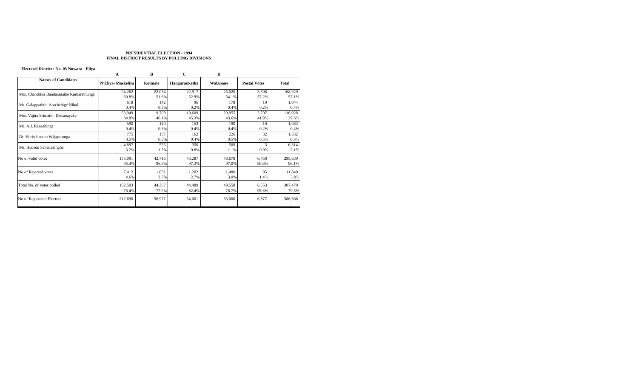# **Electoral District : No. 05 Nuwara - Eliya**

|                                          | A                 | B               | C               | D               |                     |                  |
|------------------------------------------|-------------------|-----------------|-----------------|-----------------|---------------------|------------------|
| <b>Names of Candidates</b>               | N'Eliya-Maskeliya | Kotmale         | Hanguranketha   | Walapane        | <b>Postal Votes</b> | <b>Total</b>     |
|                                          | 94,262            | 22,034          | 22,917          | 26,020          | 3,696               | 168,929          |
| Mrs. Chandrika Bandaranaike Kumarathunga | 60.8%             | 51.6%           | 52.9%           | 54.1%           | 57.2%               | 57.1%            |
| Mr. Galappaththi Arachchige Nihal        | 618               | 142             | 96              | 178             | 10                  | 1,044            |
|                                          | 0.4%              | 0.3%            | 0.2%            | 0.4%            | 0.2%                | 0.4%             |
| Mrs. Vajira Srimathi Dissanayake         | 53,949            | 19,708          | 19,609          | 20,955          | 2,707               | 116,928          |
|                                          | 34.8%             | 46.1%           | 45.3%           | 43.6%           | 41.9%               | 39.6%            |
| Mr. A.J. Ranashinge                      | 590               | 140             | 153             | 190             | 10                  | 1,083            |
|                                          | 0.4%              | 0.3%            | 0.4%            | 0.4%            | 0.2%                | 0.4%             |
| Dr. Harischandra Wijayatunga             | 775               | 137             | 162             | 226             | 32                  | 1,332            |
|                                          | 0.5%              | 0.3%            | 0.4%            | 0.5%            | 0.5%                | 0.5%             |
| Mr. Hudson Samarasinghe                  | 4,897             | 555             | 350             | 509             | 3                   | 6,314            |
|                                          | 3.2%              | 1.3%            | 0.8%            | 1.1%            | 0.0%                | 2.1%             |
| No of valid votes                        | 155,091<br>95.4%  | 42,716<br>96.3% | 43,287<br>97.3% | 48,078<br>97.0% | 6,458<br>98.6%      | 295,630<br>96.1% |
|                                          |                   |                 |                 |                 |                     |                  |
| No of Rejected votes                     | 7,412             | 1,651           | 1,202           | 1,480           | 95                  | 11,840           |
|                                          | 4.6%              | 3.7%            | 2.7%            | 3.0%            | 1.4%                | 3.9%             |
| Total No. of votes polled                | 162,503           | 44,367          | 44,489          | 49,558          | 6,553               | 307,470          |
|                                          | 76.4%             | 77.9%           | 82.4%           | 78.7%           | 95.3%               | 79.5%            |
| No of Registered Electors                | 212,690           | 56,977          | 54,001          | 63,000          | 6,877               | 386,668          |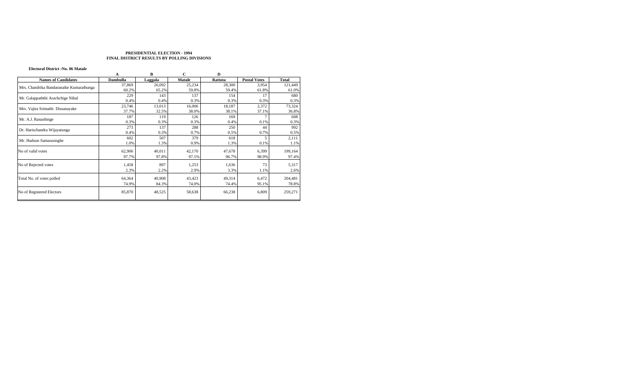#### **Electoral District :No. 06 Matale**

|                                          | A        | в       | С             | D       |                     |              |
|------------------------------------------|----------|---------|---------------|---------|---------------------|--------------|
| <b>Names of Candidates</b>               | Dambulla | Laggala | <b>Matale</b> | Rattota | <b>Postal Votes</b> | <b>Total</b> |
|                                          | 37,869   | 26,092  | 25,234        | 28,300  | 3,954               | 121,449      |
| Mrs. Chandrika Bandaranaike Kumarathunga | 60.2%    | 65.2%   | 59.8%         | 59.4%   | 61.8%               | 61.0%        |
| Mr. Galappaththi Arachchige Nihal        | 229      | 143     | 137           | 154     | 17                  | 680          |
|                                          | 0.4%     | 0.4%    | 0.3%          | 0.3%    | 0.3%                | 0.3%         |
| Mrs. Vajira Srimathi Dissanayake         | 23,746   | 13,013  | 16,006        | 18,187  | 2,372               | 73,324       |
|                                          | 37.7%    | 32.5%   | 38.0%         | 38.1%   | 37.1%               | 36.8%        |
| Mr. A.J. Ranashinge                      | 187      | 119     | 126           | 169     |                     | 608          |
|                                          | 0.3%     | 0.3%    | 0.3%          | 0.4%    | 0.1%                | 0.3%         |
| Dr. Harischandra Wijayatunga             | 273      | 137     | 288           | 250     | 44                  | 992          |
|                                          | 0.4%     | 0.3%    | 0.7%          | 0.5%    | 0.7%                | 0.5%         |
| Mr. Hudson Samarasinghe                  | 602      | 507     | 379           | 618     | 5                   | 2,111        |
|                                          | 1.0%     | 1.3%    | 0.9%          | 1.3%    | 0.1%                | 1.1%         |
| No of valid votes                        | 62,906   | 40,011  | 42,170        | 47,678  | 6,399               | 199,164      |
|                                          | 97.7%    | 97.8%   | 97.1%         | 96.7%   | 98.9%               | 97.4%        |
| No of Rejected votes                     | 1,458    | 897     | 1,253         | 1,636   | 73                  | 5,317        |
|                                          | 2.3%     | 2.2%    | 2.9%          | 3.3%    | 1.1%                | 2.6%         |
| Total No. of votes polled                | 64,364   | 40,908  | 43,423        | 49,314  | 6,472               | 204,481      |
|                                          | 74.9%    | 84.3%   | 74.0%         | 74.4%   | 95.1%               | 78.8%        |
| No of Registered Electors                | 85,870   | 48,525  | 58,638        | 66,238  | 6,809               | 259,271      |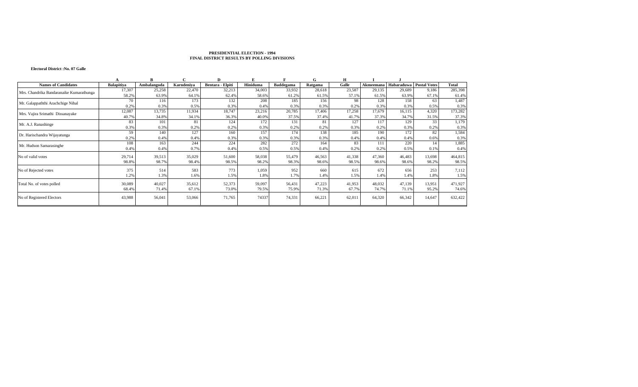#### **Electoral District :No. 07 Galle**

|                                          |                   |             | C          | D                |          |           | G       | н      |           |                           |        |              |
|------------------------------------------|-------------------|-------------|------------|------------------|----------|-----------|---------|--------|-----------|---------------------------|--------|--------------|
| <b>Names of Candidates</b>               | <b>Balapitiva</b> | Ambalangoda | Karndeniya | Bentara - Elpiti | Hiniduma | Baddegama | Ratgama | Galle  | Akmeemana | Habaraduwa   Postal Votes |        | <b>Total</b> |
| Mrs. Chandrika Bandaranaike Kumarathunga | 17,307            | 25,258      | 22,470     | 32,213           | 34,003   | 33,932    | 28,618  | 23,587 | 29,135    | 29,689                    | 9,186  | 285,398      |
|                                          | 58.2%             | 63.9%       | 64.1%      | 62.4%            | 58.6%    | 61.2%     | 61.5%   | 57.1%  | 61.5%     | 63.9%                     | 67.1%  | 61.4%        |
| Mr. Galappaththi Arachchige Nihal        | 70                | 116         | 173        | 132              | 208      | 185       | 156     | 98     | 128       | 158                       | 63     | 1.487        |
|                                          | 0.2%              | 0.3%        | 0.5%       | 0.3%             | 0.4%     | 0.3%      | 0.3%    | 0.2%   | 0.3%      | 0.3%                      | 0.5%   | 0.3%         |
|                                          | 12,087            | 13,735      | 11,934     | 18,747           | 23,216   | 20,785    | 17,406  | 17,258 | 17,679    | 16,115                    | 4.320  | 173,282      |
| Mrs. Vajira Srimathi Dissanayake         | 40.7%             | 34.8%       | 34.1%      | 36.3%            | 40.0%    | 37.5%     | 37.4%   | 41.7%  | 37.3%     | 34.7%                     | 31.5%  | 37.3%        |
|                                          | 83                | 101         | 81         | 124              | 172      | 131       | 81      | 127    | 117       | 129                       | 33     | 1,179        |
| Mr. A.J. Ranashinge                      | 0.3%              | 0.3%        | 0.2%       | 0.2%             | 0.3%     | 0.2%      | 0.2%    | 0.3%   | 0.2%      | 0.3%                      | 0.2%   | 0.3%         |
|                                          | 59                | 140         | 127        | 160              | 157      | 174       | 138     | 185    | 190       | 172                       | 82     | 1,584        |
| Dr. Harischandra Wijayatunga             | 0.2%              | 0.4%        | 0.4%       | 0.3%             | 0.3%     | 0.3%      | 0.3%    | 0.4%   | 0.4%      | 0.4%                      | 0.6%   | 0.3%         |
| Mr. Hudson Samarasinghe                  | 108               | 163         | 244        | 224              | 282      | 272       | 164     | 83     | 111       | 220                       | 14     | 1,885        |
|                                          | 0.4%              | 0.4%        | 0.7%       | 0.4%             | 0.5%     | 0.5%      | 0.4%    | 0.2%   | 0.2%      | 0.5%                      | 0.1%   | 0.4%         |
| No of valid votes                        | 29,714            | 39,513      | 35,029     | 51,600           | 58,038   | 55,479    | 46,563  | 41,338 | 47,360    | 46,483                    | 13,698 | 464,815      |
|                                          | 98.8%             | 98.7%       | 98.4%      | 98.5%            | 98.2%    | 98.3%     | 98.6%   | 98.5%  | 98.6%     | 98.6%                     | 98.2%  | 98.5%        |
| No of Rejected votes                     | 375               | 514         | 583        | 773              | 1,059    | 952       | 660     | 615    | 672       | 656                       | 253    | 7,112        |
|                                          | 1.2%              | 1.3%        | 1.6%       | 1.5%             | 1.8%     | 1.7%      | 1.4%    | 1.5%   | 1.4%      | 1.4%                      | 1.8%   | 1.5%         |
|                                          | 30,089            | 40,027      | 35,612     |                  | 59,097   | 56,431    | 47,223  | 41,953 | 48,032    | 47,139                    | 13,951 | 471,927      |
| Total No. of votes polled                |                   |             |            | 52,373           |          |           |         |        |           |                           |        |              |
|                                          | 68.4%             | 71.4%       | 67.1%      | 73.0%            | 79.5%    | 75.9%     | 71.3%   | 67.7%  | 74.7%     | 71.1%                     | 95.2%  | 74.6%        |
| No of Registered Electors                | 43,988            | 56,041      | 53,066     | 71,765           | 74337    | 74,331    | 66,221  | 62,01  | 64,320    | 66,342                    | 14,647 | 632,422      |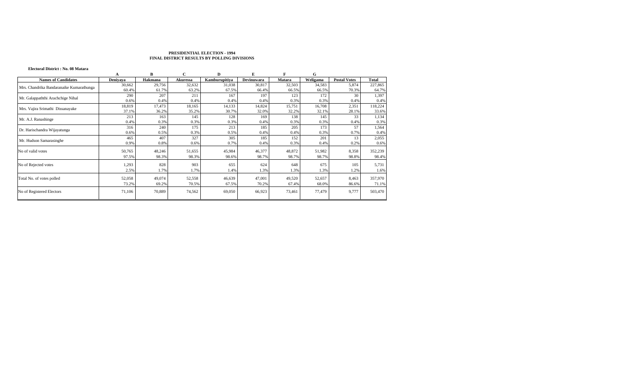# **Electoral District : No. 08 Matara**

|                                          |          | в       |          | D             |                   |        | G        |                     |         |
|------------------------------------------|----------|---------|----------|---------------|-------------------|--------|----------|---------------------|---------|
| <b>Names of Candidates</b>               | Denivaya | Hakmana | Akuressa | Kamburupitiya | <b>Devinuwara</b> | Matara | Weligama | <b>Postal Votes</b> | Total   |
| Mrs. Chandrika Bandaranaike Kumarathunga | 30,662   | 29,756  | 32,632   | 31,038        | 30,817            | 32,503 | 34,583   | 5,874               | 227,865 |
|                                          | 60.4%    | 61.7%   | 63.2%    | 67.5%         | 66.4%             | 66.5%  | 66.5%    | 70.3%               | 64.7%   |
| Mr. Galappaththi Arachchige Nihal        | 290      | 207     | 211      | 167           | 197               | 123    | 172      | 30                  | 1,397   |
|                                          | 0.6%     | 0.4%    | 0.4%     | 0.4%          | 0.4%              | 0.3%   | 0.3%     | 0.4%                | 0.4%    |
|                                          | 18,819   | 17,473  | 18,165   | 14,133        | 14,824            | 15,751 | 16,708   | 2,351               | 118,224 |
| Mrs. Vajira Srimathi Dissanayake         | 37.1%    | 36.2%   | 35.2%    | 30.7%         | 32.0%             | 32.2%  | 32.1%    | 28.1%               | 33.6%   |
| Mr. A.J. Ranashinge                      | 213      | 163     | 145      | 128           | 169               | 138    | 145      | 33                  | 1,134   |
|                                          | 0.4%     | 0.3%    | 0.3%     | 0.3%          | 0.4%              | 0.3%   | 0.3%     | 0.4%                | 0.3%    |
|                                          | 316      | 240     | 175      | 213           | 185               | 205    | 173      | 57                  | 1,564   |
| Dr. Harischandra Wijayatunga             | 0.6%     | 0.5%    | 0.3%     | 0.5%          | 0.4%              | 0.4%   | 0.3%     | 0.7%                | 0.4%    |
| Mr. Hudson Samarasinghe                  | 465      | 407     | 327      | 305           | 185               | 152    | 201      | 13                  | 2,055   |
|                                          | 0.9%     | 0.8%    | 0.6%     | 0.7%          | 0.4%              | 0.3%   | 0.4%     | 0.2%                | 0.6%    |
| No of valid votes                        | 50,765   | 48,246  | 51,655   | 45,984        | 46,377            | 48,872 | 51,982   | 8,358               | 352,239 |
|                                          | 97.5%    | 98.3%   | 98.3%    | 98.6%         | 98.7%             | 98.7%  | 98.7%    | 98.8%               | 98.4%   |
| No of Rejected votes                     | 1,293    | 828     | 903      | 655           | 624               | 648    | 675      | 105                 | 5,731   |
|                                          | 2.5%     | 1.7%    | 1.7%     | 1.4%          | 1.3%              | 1.3%   | 1.3%     | 1.2%                | 1.6%    |
| Total No. of votes polled                | 52,058   | 49,074  | 52,558   | 46,639        | 47,001            | 49,520 | 52,657   | 8,463               | 357,970 |
|                                          | 73.2%    | 69.2%   | 70.5%    | 67.5%         | 70.2%             | 67.4%  | 68.0%    | 86.6%               | 71.1%   |
|                                          |          |         |          |               |                   |        |          |                     |         |
| No of Registered Electors                | 71,106   | 70,889  | 74,562   | 69,050        | 66,923            | 73,461 | 77,479   | 9,777               | 503,470 |
|                                          |          |         |          |               |                   |        |          |                     |         |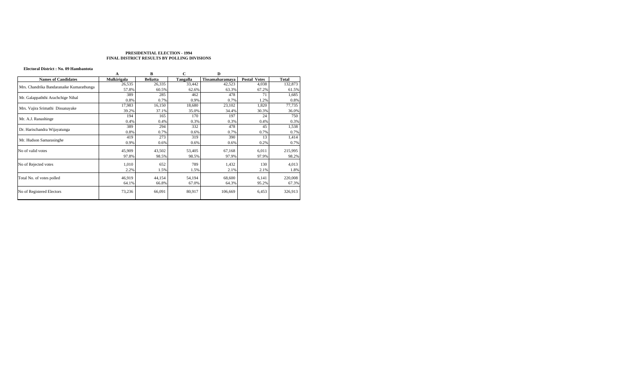#### **Electoral District : No. 09 Hambantota**

|                                          | A           | B               | С        | D               |                     |              |
|------------------------------------------|-------------|-----------------|----------|-----------------|---------------------|--------------|
| <b>Names of Candidates</b>               | Mulkirigala | <b>Beliatta</b> | Tangalla | Tissamaharamaya | <b>Postal Votes</b> | <b>Total</b> |
| Mrs. Chandrika Bandaranaike Kumarathunga | 26,535      | 26,335          | 33,442   | 42,523          | 4,038               | 132,873      |
|                                          | 57.8%       | 60.5%           | 62.6%    | 63.3%           | 67.2%               | 61.5%        |
|                                          | 389         | 285             | 462      | 478             | 71                  | 1,685        |
| Mr. Galappaththi Arachchige Nihal        | 0.8%        | 0.7%            | 0.9%     | 0.7%            | 1.2%                | 0.8%         |
|                                          | 17,983      | 16,150          | 18,680   | 23,102          | 1,820               | 77,735       |
| Mrs. Vajira Srimathi Dissanayake         | 39.2%       | 37.1%           | 35.0%    | 34.4%           | 30.3%               | 36.0%        |
| Mr. A.J. Ranashinge                      | 194         | 165             | 170      | 197             | 24                  | 750          |
|                                          | 0.4%        | 0.4%            | 0.3%     | 0.3%            | 0.4%                | 0.3%         |
| Dr. Harischandra Wijayatunga             | 389         | 294             | 332      | 478             | 45                  | 1,538        |
|                                          | 0.8%        | 0.7%            | 0.6%     | 0.7%            | 0.7%                | 0.7%         |
| Mr. Hudson Samarasinghe                  | 419         | 273             | 319      | 390             | 13                  | 1,414        |
|                                          | 0.9%        | 0.6%            | 0.6%     | 0.6%            | 0.2%                | 0.7%         |
| No of valid votes                        | 45,909      | 43,502          | 53,405   | 67,168          | 6,011               | 215,995      |
|                                          | 97.8%       | 98.5%           | 98.5%    | 97.9%           | 97.9%               | 98.2%        |
| No of Rejected votes                     | 1,010       | 652             | 789      | 1,432           | 130                 | 4,013        |
|                                          | 2.2%        | 1.5%            | 1.5%     | 2.1%            | 2.1%                | 1.8%         |
| Total No. of votes polled                | 46,919      | 44,154          | 54,194   | 68,600          | 6,141               | 220,008      |
|                                          | 64.1%       | 66.8%           | 67.0%    | 64.3%           | 95.2%               | 67.3%        |
| No of Registered Electors                | 73,236      | 66,091          | 80,917   | 106,669         | 6,453               | 326,913      |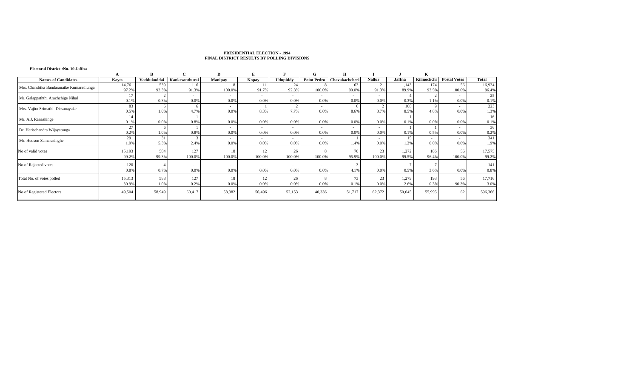#### **Electoral District :No. 10 Jaffna**

|                                          |        |             |                | D              |            |                 |                          |                |               |        |             |                     |              |
|------------------------------------------|--------|-------------|----------------|----------------|------------|-----------------|--------------------------|----------------|---------------|--------|-------------|---------------------|--------------|
| <b>Names of Candidates</b>               | Kayts  | Vaddukoddai | Kankesanthurai | <b>Manipay</b> | Kopay      | <b>Udupiddy</b> | <b>Point Pedro</b>       | Chavakachcheri | <b>Nallur</b> | Jaffna | Kilinochchi | <b>Postal Votes</b> | <b>Total</b> |
| Mrs. Chandrika Bandaranaike Kumarathunga | 14,761 | 539         | 116            | 18             |            | 24              |                          | 63             | 21            | 1.143  | 174         | 56                  | 16,934       |
|                                          | 97.2%  | 92.3%       | 91.3%          | 100.0%         | 91.7%      | 92.3%           | 100.0%                   | 90.0%          | 91.3%         | 89.9%  | 93.5%       | 100.0%              | 96.4%        |
|                                          | 17     |             | $\sim$         | $\sim$         | $\sim$     | $\sim$          | $\overline{\phantom{a}}$ |                |               |        |             |                     | 25           |
| Mr. Galappaththi Arachchige Nihal        | 0.1%   | 0.3%        | 0.0%           | 0.0%           | 0.0%       | 0.0%            | 0.0%                     | 0.0%           | 0.0%          | 0.3%   | 1.17        | 0.0%                | 0.1%         |
| Mrs. Vajira Srimathi Dissanayake         | 83     |             |                | $\sim$         |            |                 | . .                      | 6              |               | 108    |             |                     | 223          |
|                                          | 0.5%   | 1.0%        | 4.7%           | 0.0%           | 8.3%       | 7.7%            | 0.0%                     | 8.6%           | 8.7%          | 8.5%   | 4.8%        | 0.0%                | 1.3%         |
| Mr. A.J. Ranashinge                      | 14     | $\sim$      |                | $\sim$         | ۰.         | . .             |                          | $\sim$         | $\sim$        |        |             |                     | 16           |
|                                          | 0.1%   | 0.0%        | 0.8%           | 0.0%           | 0.0%       | 0.0%            | 0.0%                     | 0.0%           | 0.0%          | 0.1%   | 0.0%        | 0.0%                | 0.1%         |
| Dr. Harischandra Wijayatunga             | 27     |             |                | <b>COL</b>     | <b>м.</b>  | $\sim$          | <b>COL</b>               |                | ۰.            |        |             |                     | 36           |
|                                          | 0.2%   | 1.0%        | 0.8%           | 0.0%           | 0.0%       | 0.0%            | 0.0%                     | 0.0%           | 0.0%          | 0.1%   | 0.5%        | 0.0%                | 0.2%         |
| Mr. Hudson Samarasinghe                  | 291    | 31          |                | <b>COL</b>     | <b>COL</b> |                 |                          |                | ۰             | 15     | $\sim$      |                     | 341          |
|                                          | 1.9%   | 5.3%        | 2.4%           | 0.0%           | 0.0%       | 0.0%            | 0.0%                     | 1.4%           | 0.0%          | 1.2%   | 0.0%        | 0.0%                | 1.9%         |
| No of valid votes                        | 15,193 | 584         | 127            | 18             | 12         | 26              |                          | 70             | 23            | 1.272  | 186         | 56                  | 17,575       |
|                                          | 99.2%  | 99.3%       | 100.0%         | 100.0%         | 100.0%     | 100.0%          | 100.0%                   | 95.9%          | 100.0%        | 99.5%  | 96.4%       | 100.0%              | 99.2%        |
|                                          |        |             |                |                |            |                 |                          |                |               |        |             |                     |              |
| No of Rejected votes                     | 120    |             |                | <b>COL</b>     |            |                 |                          | 3              |               |        |             |                     | 141          |
|                                          | 0.8%   | 0.7%        | 0.0%           | 0.0%           | 0.0%       | 0.0%            | 0.0%                     | 4.1%           | 0.0%          | 0.5%   | 3.6%        | 0.0%                | 0.8%         |
| Total No. of votes polled                | 15,313 | 588         | 127            |                | 12         | 26              |                          | 73             | 23            | 1.279  | 193         | 56                  | 17,716       |
|                                          | 30.9%  | 1.0%        | 0.2%           | 0.0%           | 0.0%       | 0.0%            | 0.0%                     | 0.1%           | 0.0%          | 2.6%   | 0.3%        | 90.3%               | 3.0%         |
|                                          |        |             |                |                |            |                 |                          |                |               |        |             |                     |              |
| No of Registered Electors                | 49,504 | 58,949      | 60,417         | 58,382         | 56,496     | 52,153          | 40,336                   | 51,717         | 62,372        | 50,045 | 55,995      | 62                  | 596,366      |
|                                          |        |             |                |                |            |                 |                          |                |               |        |             |                     |              |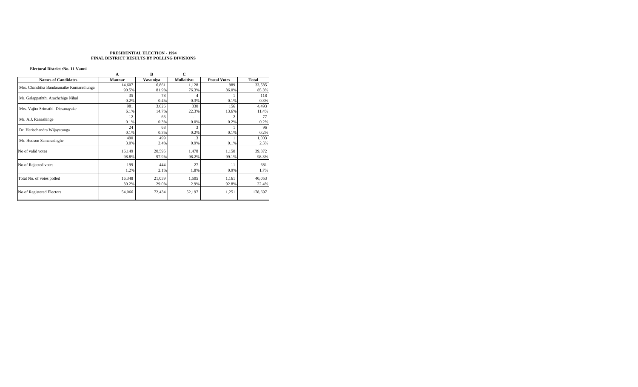#### **Electoral District :No. 11 Vanni**

|                                          | А      | B        |                   |                     |              |
|------------------------------------------|--------|----------|-------------------|---------------------|--------------|
| <b>Names of Candidates</b>               | Mannar | Vavuniva | <b>Mullaitivu</b> | <b>Postal Votes</b> | <b>Total</b> |
| Mrs. Chandrika Bandaranaike Kumarathunga | 14,607 | 16,861   | 1,128             | 989                 | 33,585       |
|                                          | 90.5%  | 81.9%    | 76.3%             | 86.0%               | 85.3%        |
|                                          | 35     | 78       |                   |                     | 118          |
| Mr. Galappaththi Arachchige Nihal        | 0.2%   | 0.4%     | 0.3%              | 0.1%                | 0.3%         |
|                                          | 981    | 3,026    | 330               | 156                 | 4,493        |
| Mrs. Vajira Srimathi Dissanayake         | 6.1%   | 14.7%    | 22.3%             | 13.6%               | 11.4%        |
|                                          | 12     | 63       | ٠                 | 2                   | 77           |
| Mr. A.J. Ranashinge                      | 0.1%   | 0.3%     | 0.0%              | 0.2%                | 0.2%         |
|                                          | 24     | 68       | 3                 |                     | 96           |
| Dr. Harischandra Wijayatunga             | 0.1%   | 0.3%     | 0.2%              | 0.1%                | 0.2%         |
|                                          | 490    | 499      | 13                |                     | 1,003        |
| Mr. Hudson Samarasinghe                  | 3.0%   | 2.4%     | 0.9%              | 0.1%                | 2.5%         |
| No of valid votes                        | 16,149 | 20,595   | 1,478             | 1,150               | 39,372       |
|                                          | 98.8%  | 97.9%    | 98.2%             | 99.1%               | 98.3%        |
| No of Rejected votes                     | 199    | 444      | 27                | 11                  | 681          |
|                                          | 1.2%   | 2.1%     | 1.8%              | 0.9%                | 1.7%         |
|                                          |        |          |                   |                     |              |
| Total No. of votes polled                | 16,348 | 21,039   | 1,505             | 1,161               | 40,053       |
|                                          | 30.2%  | 29.0%    | 2.9%              | 92.8%               | 22.4%        |
| No of Registered Electors                | 54,066 | 72,434   | 52,197            | 1,251               | 178,697      |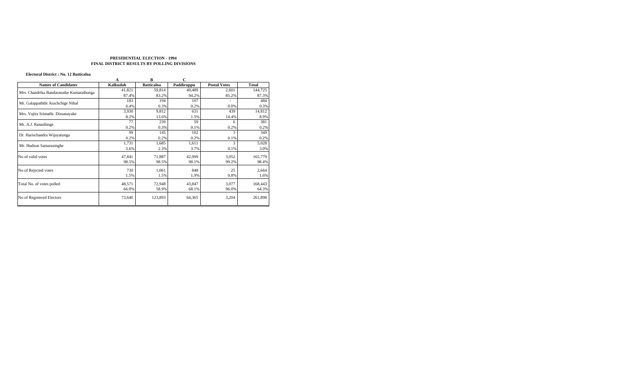# **Electoral District : No. 12 Batticaloa**

| Electoral District : No. 12 Batticaloa   |          |                   |             |                     |              |
|------------------------------------------|----------|-------------------|-------------|---------------------|--------------|
|                                          | A        | B                 | $\mathbf C$ |                     |              |
| <b>Names of Candidates</b>               | Kalkudah | <b>Batticaloa</b> | Paddiruppu  | <b>Postal Votes</b> | <b>Total</b> |
| Mrs. Chandrika Bandaranaike Kumarathunga | 41,821   | 59,814            | 40,489      | 2,601               | 144,725      |
|                                          | 87.4%    | 83.2%             | 94.2%       | 85.2%               | 87.3%        |
|                                          | 183      | 194               | 107         |                     | 484          |
| Mr. Galappaththi Arachchige Nihal        | 0.4%     | 0.3%              | 0.2%        | 0.0%                | 0.3%         |
|                                          | 3,930    | 9,812             | 631         | 439                 | 14,812       |
| Mrs. Vajira Srimathi Dissanayake         | 8.2%     | 13.6%             | 1.5%        | 14.4%               | 8.9%         |
|                                          | 77       | 239               | 59          | 6                   | 381          |
| Mr. A.J. Ranashinge                      | 0.2%     | 0.3%              | 0.1%        | 0.2%                | 0.2%         |
|                                          | 99       | 145               | 102         | 3                   | 349          |
| Dr. Harischandra Wijayatunga             | 0.2%     | 0.2%              | 0.2%        | 0.1%                | 0.2%         |
|                                          | 1,731    | 1,685             | 1,611       | 3                   | 5,028        |
| Mr. Hudson Samarasinghe                  | 3.6%     | 2.3%              | 3.7%        | 0.1%                | 3.0%         |
| No of valid votes                        | 47,841   | 71,887            | 42,999      | 3,052               | 165,779      |
|                                          | 98.5%    | 98.5%             | 98.1%       | 99.2%               | 98.4%        |
|                                          |          |                   |             |                     |              |
| No of Rejected votes                     | 730      | 1,061             | 848         | 25                  | 2,664        |
|                                          | 1.5%     | 1.5%              | 1.9%        | 0.8%                | 1.6%         |
| Total No. of votes polled                | 48,571   | 72,948            | 43,847      | 3,077               | 168,443      |
|                                          | 66.0%    | 58.9%             | 68.1%       | 96.0%               | 64.3%        |
|                                          |          |                   |             |                     |              |
| No of Registered Electors                | 73,640   | 123,893           | 64,365      | 3,204               | 261,898      |
|                                          |          |                   |             |                     |              |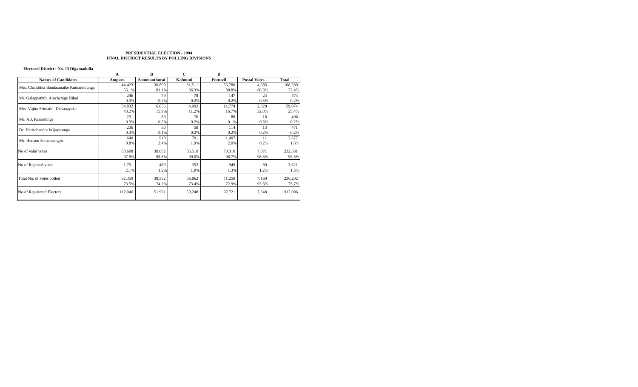# **Electoral District : No. 13 Digamadulla**

|                                          | A       | в            | С       | D        |                     |              |
|------------------------------------------|---------|--------------|---------|----------|---------------------|--------------|
| <b>Names of Candidates</b>               | Ampara  | Sammanthurai | Kalmuni | Pottuvil | <b>Postal Votes</b> | <b>Total</b> |
|                                          | 44,423  | 30,890       | 31,511  | 56,780   | 4,685               | 168,289      |
| Mrs. Chandrika Bandaranaike Kumarathunga | 55.1%   | 81.1%        | 86.3%   | 80.8%    | 66.3%               | 72.4%        |
| Mr. Galappaththi Arachchige Nihal        | 246     | 79           | 78      | 147      | 24                  | 574          |
|                                          | 0.3%    | 0.2%         | 0.2%    | 0.2%     | 0.3%                | 0.2%         |
| Mrs. Vajira Srimathi Dissanayake         | 34,832  | 6,056        | 4,092   | 11,774   | 2,320               | 59,074       |
|                                          | 43.2%   | 15.9%        | 11.2%   | 16.7%    | 32.8%               | 25.4%        |
| Mr. A.J. Ranashinge                      | 231     | 89           | 70      | 88       | 18                  | 496          |
|                                          | 0.3%    | 0.2%         | 0.2%    | 0.1%     | 0.3%                | 0.2%         |
| Dr. Harischandra Wijayatunga             | 236     | 50           | 58      | 114      | 13                  | 471          |
|                                          | 0.3%    | 0.1%         | 0.2%    | 0.2%     | 0.2%                | 0.2%         |
| Mr. Hudson Samarasinghe                  | 640     | 918          | 701     | 1,407    | 11                  | 3,677        |
|                                          | 0.8%    | 2.4%         | 1.9%    | 2.0%     | 0.2%                | 1.6%         |
| No of valid votes                        | 80,608  | 38,082       | 36,510  | 70,310   | 7,071               | 232,581      |
|                                          | 97.9%   | 98.8%        | 99.0%   | 98.7%    | 98.8%               | 98.5%        |
|                                          |         |              |         |          |                     |              |
| No of Rejected votes                     | 1,751   | 480          | 352     | 949      | 89                  | 3,621        |
|                                          | 2.1%    | 1.2%         | 1.0%    | 1.3%     | 1.2%                | 1.5%         |
| Total No. of votes polled                | 82,359  | 38,562       | 36,862  | 71,259   | 7,160               | 236,202      |
|                                          | 73.5%   | 74.2%        | 73.4%   | 72.9%    | 93.6%               | 75.7%        |
| No of Registered Electors                | 112,046 | 51,991       | 50,248  | 97,721   | 7,648               | 312,006      |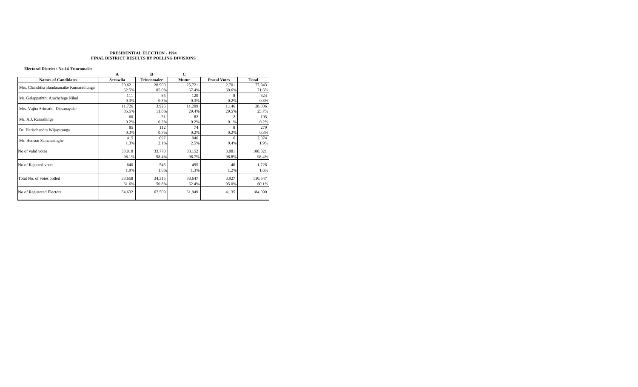# **Electoral District : No.14 Trincomalee**

|                                          | A               | B                  | C      |                     |              |
|------------------------------------------|-----------------|--------------------|--------|---------------------|--------------|
| <b>Names of Candidates</b>               | <b>Seruwila</b> | <b>Trincomalee</b> | Mutur  | <b>Postal Votes</b> | <b>Total</b> |
| Mrs. Chandrika Bandaranaike Kumarathunga | 20,621          | 28,900             | 25,721 | 2,701               | 77,943       |
|                                          | 62.5%           | 85.6%              | 67.4%  | 69.6%               | 71.6%        |
| Mr. Galappaththi Arachchige Nihal        | 111             | 85                 | 120    | 8                   | 324          |
|                                          | 0.3%            | 0.3%               | 0.3%   | 0.2%                | 0.3%         |
|                                          | 11,726          | 3,925              | 11,209 | 1,146               | 28,006       |
| Mrs. Vajira Srimathi Dissanayake         | 35.5%           | 11.6%              | 29.4%  | 29.5%               | 25.7%        |
|                                          | 60              | 51                 | 82     | $\overline{c}$      | 195          |
| Mr. A.J. Ranashinge                      | 0.2%            | 0.2%               | 0.2%   | 0.1%                | 0.2%         |
| Dr. Harischandra Wijayatunga             | 85              | 112                | 74     | 8                   | 279          |
|                                          | 0.3%            | 0.3%               | 0.2%   | 0.2%                | 0.3%         |
| Mr. Hudson Samarasinghe                  | 415             | 697                | 946    | 16                  | 2,074        |
|                                          | 1.3%            | 2.1%               | 2.5%   | 0.4%                | 1.9%         |
| No of valid votes                        | 33,018          | 33,770             | 38,152 | 3,881               | 108,821      |
|                                          | 98.1%           | 98.4%              | 98.7%  | 98.8%               | 98.4%        |
| No of Rejected votes                     | 640             | 545                | 495    | 46                  | 1,726        |
|                                          | 1.9%            | 1.6%               | 1.3%   | 1.2%                | 1.6%         |
|                                          |                 |                    |        |                     |              |
| Total No. of votes polled                | 33,658          | 34,315             | 38,647 | 3,927               | 110,547      |
|                                          | 61.6%           | 50.8%              | 62.4%  | 95.0%               | 60.1%        |
| No of Registered Electors                | 54,632          | 67,509             | 61,949 | 4,135               | 184,090      |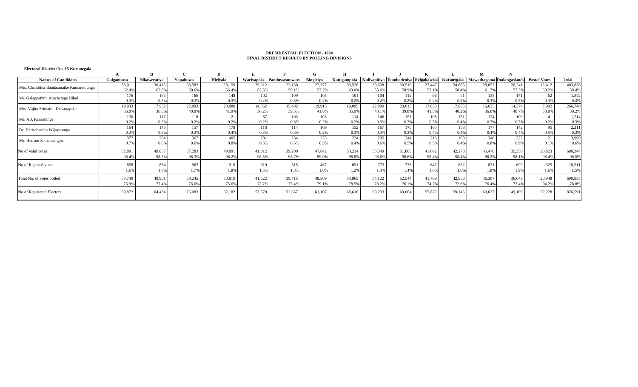# **Electoral District :No. 15 Kurunegala**

| Galgamuwa |                                   | Yapahuwa                                                  |                                    |                                                       | Panduwasnuwara                                   |                                    | Katugampola                                                      |        |                                               |                                                                                                                                                  |                                    |                                                                            |                                           |                                    | Total                                                                                               |
|-----------|-----------------------------------|-----------------------------------------------------------|------------------------------------|-------------------------------------------------------|--------------------------------------------------|------------------------------------|------------------------------------------------------------------|--------|-----------------------------------------------|--------------------------------------------------------------------------------------------------------------------------------------------------|------------------------------------|----------------------------------------------------------------------------|-------------------------------------------|------------------------------------|-----------------------------------------------------------------------------------------------------|
| 33,01     | 30,415                            | 33,582                                                    | 28,159                             | 25,612                                                | 23,158                                           | 27,377                             | 33,528                                                           |        | 30,516                                        | 23,447                                                                                                                                           | 24,685                             | 28,057                                                                     | 20,241                                    | 12,412                             | 403,838                                                                                             |
| 62.49     | 62.0%                             | 58.6%                                                     | 56.4%                              | 62.5%                                                 | 59.1%                                            | 57.2%                              | 63.0%                                                            |        | 58.9%                                         | 57.1%                                                                                                                                            | 58.4%                              | 61.7%                                                                      | 57.3%                                     | 60.2%                              | 59.4%                                                                                               |
| 176       | 164                               | 166                                                       | 148                                | 102                                                   | 109                                              | 105                                | 101                                                              | 104    | 112                                           | 96                                                                                                                                               |                                    | 135                                                                        | 171                                       | 62                                 | 1,842                                                                                               |
| 0.3%      | 0.3%                              | 0.3%                                                      | 0.3%                               | 0.2%                                                  | 0.3%                                             | 0.29                               | 0.2%                                                             |        | 0.2%                                          | 0.2%                                                                                                                                             | 0.2%                               | 0.3%                                                                       | 0.5%                                      | 0.3%                               | 0.3%                                                                                                |
| 19,033    | 17,932                            | 22,893                                                    | 20,880                             | 14,862                                                | 15,482                                           | 19,915                             | 19,095                                                           | 22,999 | 20,613                                        | 17.030                                                                                                                                           | 17,005                             | 16,635                                                                     | 14,374                                    | 7,992                              | 266,740                                                                                             |
| 36.0%     | 36.5%                             | 40.0%                                                     | 41.9%                              | 36.2%                                                 | 39.5%                                            | 41.6%                              | 35.9%                                                            |        | 39.8%                                         | 41.5%                                                                                                                                            | 40.2%                              | 36.6%                                                                      | 40.7%                                     | 38.8%                              | 39.2%                                                                                               |
| 130       | 117                               | 118                                                       | 121                                | 87                                                    | 103                                              | 103                                | 114                                                              |        | 151                                           | 108                                                                                                                                              | 151                                | 124                                                                        | 100                                       | 41                                 | 1,714                                                                                               |
| 0.2%      | 0.2%                              | 0.2%                                                      | 0.2%                               | 0.2%                                                  | 0.3%                                             | 0.29                               | 0.2%                                                             |        | 0.3%                                          | 0.3%                                                                                                                                             | 0.4%                               | 0.3%                                                                       | 0.3%                                      | 0.2%                               | 0.3%                                                                                                |
| 164       | 145                               | 157                                                       | 178                                | 118                                                   | 114                                              | 109                                | 152                                                              | 167    | 170                                           | 165                                                                                                                                              |                                    | 177                                                                        | 142                                       | 95                                 | 2,211                                                                                               |
| 0.3%      | 0.3%                              | 0.3%                                                      | 0.4%                               | 0.3%                                                  | 0.3%                                             | 0.29                               | 0.3%                                                             |        | 0.3%                                          | 0.4%                                                                                                                                             | 0.4%                               | 0.4%                                                                       | 0.4%                                      | 0.5%                               | 0.3%                                                                                                |
| 377       | 294                               | 367                                                       | 405                                | 231                                                   | 234                                              | 233                                | 224                                                              |        | 244                                           | 216                                                                                                                                              | 188                                | 348                                                                        | 322                                       | 21                                 | 3,999                                                                                               |
| 0.7%      | 0.6%                              | 0.6%                                                      | 0.8%                               | 0.6%                                                  | 0.6%                                             | 0.5%                               | 0.4%                                                             |        | 0.5%                                          | 0.5%                                                                                                                                             | 0.4%                               | 0.8%                                                                       | 0.9%                                      | 0.1%                               | 0.6%                                                                                                |
|           |                                   |                                                           |                                    |                                                       |                                                  |                                    |                                                                  |        |                                               |                                                                                                                                                  |                                    |                                                                            |                                           |                                    | 680,344                                                                                             |
|           |                                   |                                                           |                                    |                                                       |                                                  |                                    |                                                                  |        |                                               |                                                                                                                                                  |                                    |                                                                            |                                           |                                    | 98.5%                                                                                               |
|           |                                   |                                                           |                                    |                                                       |                                                  |                                    |                                                                  |        |                                               |                                                                                                                                                  |                                    |                                                                            |                                           |                                    |                                                                                                     |
| 858       | 834                               | 962                                                       | 919                                | 610                                                   | 515                                              | 467                                | 651                                                              | 773    | 738                                           | 647                                                                                                                                              | 682                                | 831                                                                        | 699                                       | 325                                | 10,511                                                                                              |
| .6%       | 1.7%                              | 1.7%                                                      | 1.8%                               | 1.5%                                                  | 1.3%                                             | 1.0%                               | 1.2%                                                             |        | 1.4%                                          | .6%                                                                                                                                              | 1.6%                               | 1.8%                                                                       | 1.9%                                      | 1.6%                               | 1.5%                                                                                                |
|           |                                   |                                                           |                                    |                                                       |                                                  |                                    |                                                                  |        |                                               |                                                                                                                                                  |                                    |                                                                            |                                           |                                    |                                                                                                     |
|           |                                   |                                                           |                                    |                                                       |                                                  |                                    |                                                                  |        |                                               |                                                                                                                                                  |                                    |                                                                            |                                           |                                    | 690,855                                                                                             |
|           |                                   |                                                           |                                    |                                                       |                                                  |                                    |                                                                  |        |                                               |                                                                                                                                                  |                                    |                                                                            |                                           |                                    | 78.8%                                                                                               |
| 69,872    | 64,434                            | 76,083                                                    | 67,182                             | 53,579                                                | 52,667                                           |                                    |                                                                  | 69,233 | 69,064                                        | 55,872                                                                                                                                           | 59,146                             | 60,627                                                                     | 49,109                                    | 22,228                             | 876,591                                                                                             |
|           |                                   |                                                           |                                    |                                                       |                                                  |                                    |                                                                  |        |                                               |                                                                                                                                                  |                                    |                                                                            |                                           |                                    |                                                                                                     |
|           | 52,891<br>98.4<br>53,749<br>76.9% | <b>Nikawerativa</b><br>49,067<br>98.3%<br>49.901<br>77.4% | 57,283<br>98.3%<br>58,245<br>76.6% | <b>Hirivala</b><br>49,891<br>98.2%<br>50,810<br>75.6% | Wariyapola<br>41,012<br>98.5%<br>41,622<br>77.7% | 39,200<br>98.7%<br>39,715<br>75.4% | <b>Bingiriya</b><br>47,842<br>99.0%<br>48,309<br>79.1%<br>61,107 | 78.5%  | 53,214<br>98.8%<br>53,865<br>54,122<br>68,616 | 29,638<br>55.6%<br>0.2%<br>43.1%<br>146<br>0.3%<br>0.3%<br>295<br>0.6%<br>53,349<br>51,806<br>98.6%<br>98.6%<br>1.4%<br>52,544<br>78.2%<br>76.1% | 41.062<br>98.4%<br>41,709<br>74.7% | Kuliyapitiya Dambadeniya Polgahawela<br>42,278<br>98.4%<br>42,960<br>72.6% | 158<br>45,476<br>98.2%<br>46,307<br>76.4% | 35,350<br>98.1%<br>36,049<br>73.4% | Kurunegala   Mawathagama Dodangaslanda<br><b>Postal Votes</b><br>20,623<br>98.4%<br>20,948<br>94.2% |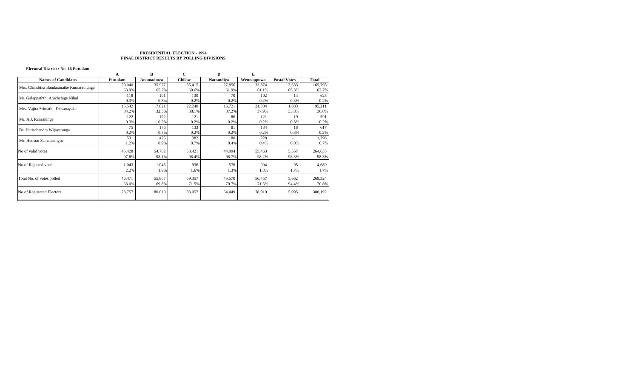# **Electoral District : No. 16 Puttalam**

|                                          |          | B         | С      | D          | E          |                     |              |
|------------------------------------------|----------|-----------|--------|------------|------------|---------------------|--------------|
| <b>Names of Candidates</b>               | Puttalam | Anamaduwa | Chilaw | Nattandiya | Wennappuwa | <b>Postal Votes</b> | <b>Total</b> |
| Mrs. Chandrika Bandaranaike Kumarathunga | 29,040   | 35,977    | 35,415 | 27,856     | 33,874     | 3,633               | 165,795      |
|                                          | 63.9%    | 65.7%     | 60.6%  | 61.9%      | 61.1%      | 65.3%               | 62.7%        |
| Mr. Galappaththi Arachchige Nihal        | 118      | 191       | 130    | 70         | 102        | 14                  | 625          |
|                                          | 0.3%     | 0.3%      | 0.2%   | 0.2%       | 0.2%       | 0.3%                | 0.2%         |
|                                          | 15,542   | 17,821    | 22,240 | 16,721     | 21,004     | 1,883               | 95,211       |
| Mrs. Vajira Srimathi Dissanayake         | 34.2%    | 32.5%     | 38.1%  | 37.2%      | 37.9%      | 33.8%               | 36.0%        |
| Mr. A.J. Ranashinge                      | 122      | 122       | 121    | 86         | 121        | 19                  | 591          |
|                                          | 0.3%     | 0.2%      | 0.2%   | 0.2%       | 0.2%       | 0.3%                | 0.2%         |
| Dr. Harischandra Wijayatunga             | 75       | 176       | 133    | 81         | 134        | 18                  | 617          |
|                                          | 0.2%     | 0.3%      | 0.2%   | 0.2%       | 0.2%       | 0.3%                | 0.2%         |
| Mr. Hudson Samarasinghe                  | 531      | 475       | 382    | 180        | 228        |                     | 1,796        |
|                                          | 1.2%     | 0.9%      | 0.7%   | 0.4%       | 0.4%       | 0.0%                | 0.7%         |
| No of valid votes                        | 45,428   | 54,762    | 58,421 | 44,994     | 55,463     | 5,567               | 264,635      |
|                                          | 97.8%    | 98.1%     | 98.4%  | 98.7%      | 98.2%      | 98.3%               | 98.3%        |
| No of Rejected votes                     | 1,043    | 1,045     | 936    | 576        | 994        | 95                  | 4,689        |
|                                          | 2.2%     | 1.9%      | 1.6%   | 1.3%       | 1.8%       | 1.7%                | 1.7%         |
|                                          |          |           |        |            |            |                     |              |
| Total No. of votes polled                | 46,471   | 55,807    | 59,357 | 45,570     | 56,457     | 5,662               | 269,324      |
|                                          | 63.0%    | 69.8%     | 71.5%  | 70.7%      | 71.5%      | 94.4%               | 70.8%        |
| No of Registered Electors                | 73,757   | 80,010    | 83,057 | 64,449     | 78,919     | 5,995               | 380,192      |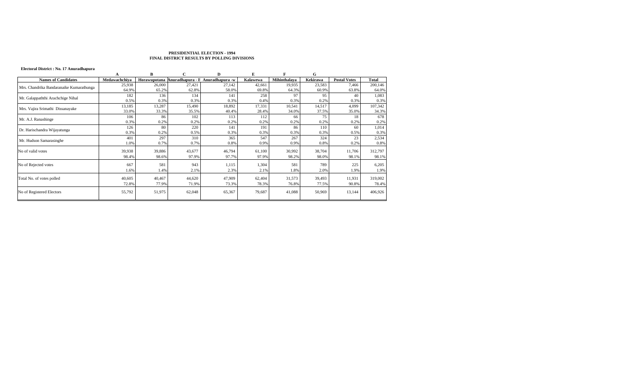# **Electoral District : No. 17 Anuradhapura**

|                                          |               | в            |        | D                                 |          |              | G               |                     |         |
|------------------------------------------|---------------|--------------|--------|-----------------------------------|----------|--------------|-----------------|---------------------|---------|
| <b>Names of Candidates</b>               | Medawachchiva | Horawupotana |        | Anuradhapura - E Anuradhapura - w | Kalawewa | Mihinthalaya | <b>Kekirawa</b> | <b>Postal Votes</b> | Total   |
| Mrs. Chandrika Bandaranaike Kumarathunga | 25,938        | 26,000       | 27,421 | 27,142                            | 42,661   | 19,935       | 23,583          | 7,466               | 200,146 |
|                                          | 64.9%         | 65.2%        | 62.8%  | 58.0%                             | 69.8%    | 64.3%        | 60.9%           | 63.8%               | 64.0%   |
| Mr. Galappaththi Arachchige Nihal        | 182           | 136          | 134    | 141                               | 258      | 97           | 95              | 40                  | 1,083   |
|                                          | 0.5%          | 0.3%         | 0.3%   | 0.3%                              | 0.4%     | 0.3%         | 0.2%            | 0.3%                | 0.3%    |
|                                          | 13,185        | 13,287       | 15,490 | 18,892                            | 17,331   | 10,541       | 14,517          | 4,099               | 107,342 |
| Mrs. Vajira Srimathi Dissanayake         | 33.0%         | 33.3%        | 35.5%  | 40.4%                             | 28.4%    | 34.0%        | 37.5%           | 35.0%               | 34.3%   |
| Mr. A.J. Ranashinge                      | 106           | 86           | 102    | 113                               | 112      | 66           | 75              | 18                  | 678     |
|                                          | 0.3%          | 0.2%         | 0.2%   | 0.2%                              | 0.2%     | 0.2%         | 0.2%            | 0.2%                | 0.2%    |
| Dr. Harischandra Wijayatunga             | 126           | 80           | 220    | 141                               | 191      | 86           | 110             | 60                  | 1,014   |
|                                          | 0.3%          | 0.2%         | 0.5%   | 0.3%                              | 0.3%     | 0.3%         | 0.3%            | 0.5%                | 0.3%    |
| Mr. Hudson Samarasinghe                  | 401           | 297          | 310    | 365                               | 547      | 267          | 324             | 23                  | 2,534   |
|                                          | 1.0%          | 0.7%         | 0.7%   | 0.8%                              | 0.9%     | 0.9%         | 0.8%            | 0.2%                | 0.8%    |
| No of valid votes                        | 39,938        | 39,886       | 43,677 | 46,794                            | 61,100   | 30,992       | 38,704          | 11,706              | 312,797 |
|                                          | 98.4%         | 98.6%        | 97.9%  | 97.7%                             | 97.9%    | 98.2%        | 98.0%           | 98.1%               | 98.1%   |
| No of Rejected votes                     | 667           | 581          | 943    | 1,115                             | 1,304    | 581          | 789             | 225                 | 6,205   |
|                                          | 1.6%          | 1.4%         | 2.1%   | 2.3%                              | 2.1%     | 1.8%         | 2.0%            | 1.9%                | 1.9%    |
|                                          |               |              |        |                                   |          |              |                 |                     |         |
| Total No. of votes polled                | 40,605        | 40,467       | 44,620 | 47,909                            | 62,404   | 31,573       | 39,493          | 11,931              | 319,002 |
|                                          | 72.8%         | 77.9%        | 71.9%  | 73.3%                             | 78.3%    | 76.8%        | 77.5%           | 90.8%               | 78.4%   |
| No of Registered Electors                | 55,792        | 51,975       | 62,048 | 65,367                            | 79,687   | 41,088       | 50,969          | 13,144              | 406,926 |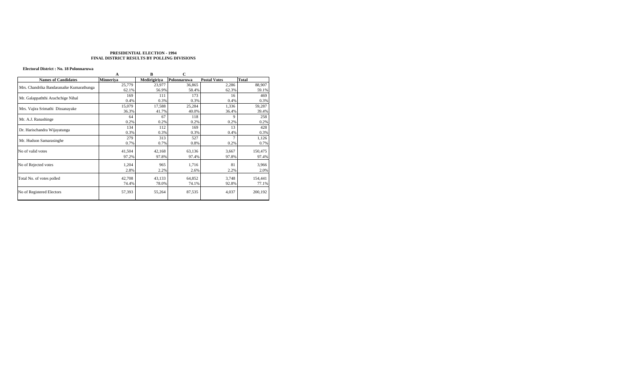#### **Electoral District : No. 18 Polonnaruwa**

|                                          | A                | B            | C           |                     |         |
|------------------------------------------|------------------|--------------|-------------|---------------------|---------|
| <b>Names of Candidates</b>               | <b>Minneriva</b> | Medirigiriya | Polonnaruwa | <b>Postal Votes</b> | Total   |
| Mrs. Chandrika Bandaranaike Kumarathunga | 25,779           | 23,977       | 36,865      | 2,286               | 88,907  |
|                                          | 62.1%            | 56.9%        | 58.4%       | 62.3%               | 59.1%   |
| Mr. Galappaththi Arachchige Nihal        | 169              | 111          | 173         | 16                  | 469     |
|                                          | 0.4%             | 0.3%         | 0.3%        | 0.4%                | 0.3%    |
|                                          | 15,079           | 17,588       | 25,284      | 1,336               | 59,287  |
| Mrs. Vajira Srimathi Dissanayake         | 36.3%            | 41.7%        | 40.0%       | 36.4%               | 39.4%   |
| Mr. A.J. Ranashinge                      | 64               | 67           | 118         | 9                   | 258     |
|                                          | 0.2%             | 0.2%         | 0.2%        | 0.2%                | 0.2%    |
| Dr. Harischandra Wijayatunga             | 134              | 112          | 169         | 13                  | 428     |
|                                          | 0.3%             | 0.3%         | 0.3%        | 0.4%                | 0.3%    |
| Mr. Hudson Samarasinghe                  | 279              | 313          | 527         |                     | 1,126   |
|                                          | 0.7%             | 0.7%         | 0.8%        | 0.2%                | 0.7%    |
| No of valid votes                        | 41,504           | 42,168       | 63,136      | 3,667               | 150,475 |
|                                          | 97.2%            | 97.8%        | 97.4%       | 97.8%               | 97.4%   |
| No of Rejected votes                     | 1,204            | 965          | 1,716       | 81                  | 3,966   |
|                                          | 2.8%             | 2.2%         | 2.6%        | 2.2%                | 2.0%    |
| Total No. of votes polled                | 42,708           | 43,133       | 64,852      | 3,748               | 154,441 |
|                                          | 74.4%            | 78.0%        | 74.1%       | 92.8%               | 77.1%   |
| No of Registered Electors                | 57,393           | 55,264       | 87,535      | 4,037               | 200,192 |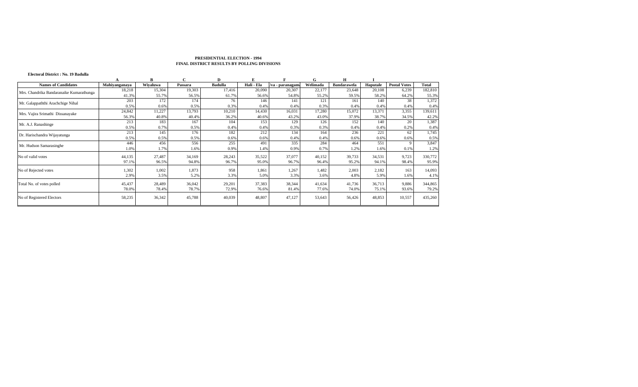|                                          |               | B        |         | D              | E          |                  | G        | н                  |          |                     |         |
|------------------------------------------|---------------|----------|---------|----------------|------------|------------------|----------|--------------------|----------|---------------------|---------|
| <b>Names of Candidates</b>               | Mahiyanganaya | Wivaluwa | Passara | <b>Badulla</b> | Hali - Ela | Jva - paranagam: | Welimada | <b>Bandarawela</b> | Haputale | <b>Postal Votes</b> | Total   |
| Mrs. Chandrika Bandaranaike Kumarathunga | 18,218        | 15,304   | 19,303  | 17,416         | 20,090     | 20,307           | 22,177   | 23,648             | 20,108   | 6,239               | 182,810 |
|                                          | 41.3%         | 55.7%    | 56.5%   | 61.7%          | 56.6%      | 54.8%            | 55.2%    | 59.5%              | 58.2%    | 64.2%               | 55.3%   |
| Mr. Galappaththi Arachchige Nihal        | 203           | 172      | 174     | 76             | 146        | 141              | 121      | 161                | 140      | 38                  | 1,372   |
|                                          | 0.5%          | 0.6%     | 0.5%    | 0.3%           | 0.4%       | 0.4%             | 0.3%     | 0.4%               | 0.4%     | 0.4%                | 0.4%    |
| Mrs. Vajira Srimathi Dissanayake         | 24,842        | 11,227   | 13,793  | 10,210         | 14,430     | 16,031           | 17,280   | 15,072             | 13,371   | 3,355               | 139,611 |
|                                          | 56.3%         | 40.8%    | 40.4%   | 36.2%          | 40.6%      | 43.2%            | 43.0%    | 37.9%              | 38.7%    | 34.5%               | 42.2%   |
| Mr. A.J. Ranashinge                      | 213           | 183      | 167     | 104            | 153        | 129              | 126      | 152                | 140      | 20                  | 1,387   |
|                                          | 0.5%          | 0.7%     | 0.5%    | 0.4%           | 0.4%       | 0.3%             | 0.3%     | 0.4%               | 0.4%     | 0.2%                | 0.4%    |
| Dr. Harischandra Wijayatunga             | 213           | 145      | 176     | 182            | 212        | 134              | 164      | 236                | 221      | 62                  | 1,745   |
|                                          | 0.5%          | 0.5%     | 0.5%    | 0.6%           | 0.6%       | 0.4%             | 0.4%     | 0.6%               | 0.6%     | 0.6%                | 0.5%    |
| Mr. Hudson Samarasinghe                  | 446           | 456      | 556     | 255            | 491        | 335              | 284      | 464                | 551      |                     | 3,847   |
|                                          | 1.0%          | .7%      | 1.6%    | 0.9%           | 1.4%       | 0.9%             | 0.7%     | 1.2%               | 1.6%     | 0.1%                | 1.2%    |
| No of valid votes                        | 44,135        | 27,487   | 34,169  | 28,243         | 35,522     | 37,077           | 40,152   | 39,733             | 34,531   | 9,723               | 330,772 |
|                                          | 97.1%         | 96.5%    | 94.8%   | 96.7%          | 95.0%      | 96.7%            | 96.4%    | 95.2%              | 94.1%    | 98.4%               | 95.9%   |
| No of Rejected votes                     | 1,302         | 1,002    | 1,873   | 958            | 1,861      | 1,267            | 1,482    | 2,003              | 2,182    | 163                 | 14,093  |
|                                          | 2.9%          | 3.5%     | 5.2%    | 3.3%           | 5.0%       | 3.3%             | 3.6%     | 4.8%               | 5.9%     | 1.6%                | 4.1%    |
| Total No. of votes polled                | 45,437        | 28,489   | 36,042  | 29,201         | 37,383     | 38,344           | 41,634   | 41,736             | 36,713   | 9,886               | 344,865 |
|                                          | 78.0%         | 78.4%    | 78.7%   | 72.9%          | 76.6%      | 81.4%            | 77.6%    | 74.0%              | 75.1%    | 93.6%               | 79.2%   |
| No of Registered Electors                | 58,235        | 36,342   | 45,788  | 40.039         | 48,807     | 47,127           | 53,643   | 56,426             | 48,853   | 10,557              | 435,260 |

**Electoral District : No. 19 Badulla**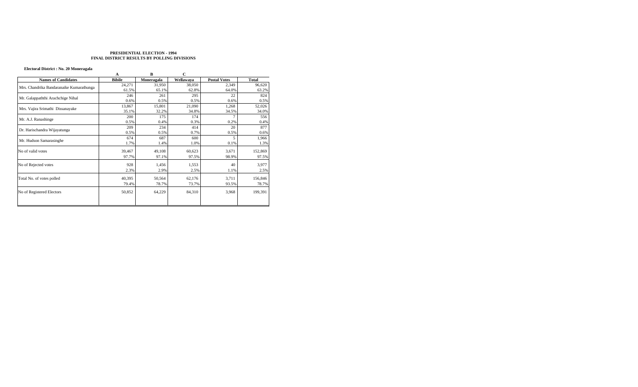# **Electoral District : No. 20 Moneragala**

|                                          | A             | B          | $\mathbf C$ |                     |              |
|------------------------------------------|---------------|------------|-------------|---------------------|--------------|
| <b>Names of Candidates</b>               | <b>Bibile</b> | Moneragala | Wellawaya   | <b>Postal Votes</b> | <b>Total</b> |
| Mrs. Chandrika Bandaranaike Kumarathunga | 24,271        | 31,950     | 38,050      | 2,349               | 96,620       |
|                                          | 61.5%         | 65.1%      | 62.8%       | 64.0%               | 63.2%        |
| Mr. Galappaththi Arachchige Nihal        | 246           | 261        | 295         | 22                  | 824          |
|                                          | 0.6%          | 0.5%       | 0.5%        | 0.6%                | 0.5%         |
|                                          | 13,867        | 15,801     | 21,090      | 1,268               | 52,026       |
| Mrs. Vajira Srimathi Dissanayake         | 35.1%         | 32.2%      | 34.8%       | 34.5%               | 34.0%        |
| Mr. A.J. Ranashinge                      | 200           | 175        | 174         |                     | 556          |
|                                          | 0.5%          | 0.4%       | 0.3%        | 0.2%                | 0.4%         |
|                                          | 209           | 234        | 414         | 20                  | 877          |
| Dr. Harischandra Wijayatunga             | 0.5%          | 0.5%       | 0.7%        | 0.5%                | 0.6%         |
|                                          | 674           | 687        | 600         | 5                   | 1,966        |
| Mr. Hudson Samarasinghe                  | 1.7%          | 1.4%       | 1.0%        | 0.1%                | 1.3%         |
| No of valid votes                        | 39,467        | 49,108     | 60,623      | 3,671               | 152,869      |
|                                          | 97.7%         | 97.1%      | 97.5%       | 98.9%               | 97.5%        |
| No of Rejected votes                     | 928           | 1,456      | 1,553       | 40                  | 3,977        |
|                                          | 2.3%          | 2.9%       | 2.5%        | 1.1%                | 2.5%         |
| Total No. of votes polled                | 40,395        | 50,564     | 62,176      | 3,711               | 156,846      |
|                                          | 79.4%         | 78.7%      | 73.7%       | 93.5%               | 78.7%        |
| No of Registered Electors                | 50,852        | 64,229     | 84,310      | 3,968               | 199,391      |
|                                          |               |            |             |                     |              |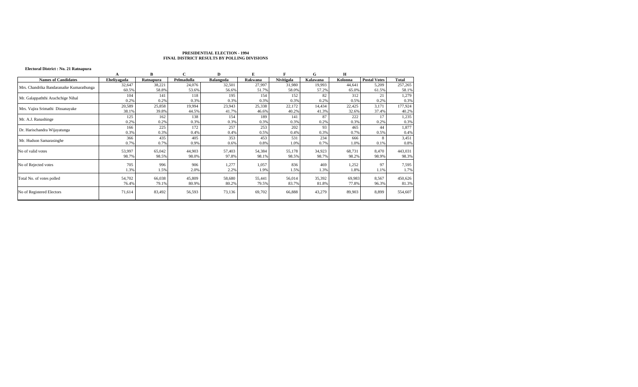# **Electoral District : No. 21 Ratnapura**

|                                          |             |           |            | D         |         |            | G        | Н       |                     |         |
|------------------------------------------|-------------|-----------|------------|-----------|---------|------------|----------|---------|---------------------|---------|
| <b>Names of Candidates</b>               | Eheliyagada | Ratnapura | Pelmadulla | Balangoda | Rakwana | Nivitigala | Kalawana | Kolonna | <b>Postal Votes</b> | Total   |
| Mrs. Chandrika Bandaranaike Kumarathunga | 32,647      | 38,221    | 24,076     | 32,501    | 27,997  | 31,980     | 19,993   | 44,641  | 5,209               | 257,265 |
|                                          | 60.5%       | 58.8%     | 53.6%      | 56.6%     | 51.7%   | 58.0%      | 57.2%    | 65.0%   | 61.5%               | 58.1%   |
| Mr. Galappaththi Arachchige Nihal        | 104         | 141       | 118        | 195       | 154     | 152        | 82       | 312     | 21                  | 1,279   |
|                                          | 0.2%        | 0.2%      | 0.3%       | 0.3%      | 0.3%    | 0.3%       | 0.2%     | 0.5%    | 0.2%                | 0.3%    |
| Mrs. Vajira Srimathi Dissanayake         | 20,589      | 25,858    | 19,994     | 23,943    | 25,338  | 22,172     | 14,434   | 22,425  | 3,171               | 177,924 |
|                                          | 38.1%       | 39.8%     | 44.5%      | 41.7%     | 46.6%   | 40.2%      | 41.3%    | 32.6%   | 37.4%               | 40.2%   |
| Mr. A.J. Ranashinge                      | 125         | 162       | 138        | 154       | 189     | 141        | 87       | 222     | 17                  | 1,235   |
|                                          | 0.2%        | 0.2%      | 0.3%       | 0.3%      | 0.3%    | 0.3%       | 0.2%     | 0.3%    | 0.2%                | 0.3%    |
| Dr. Harischandra Wijayatunga             | 166         | 225       | 172        | 257       | 253     | 202        | 93       | 465     | 44                  | 1,877   |
|                                          | 0.3%        | 0.3%      | 0.4%       | 0.4%      | 0.5%    | 0.4%       | 0.3%     | 0.7%    | 0.5%                | 0.4%    |
| Mr. Hudson Samarasinghe                  | 366         | 435       | 405        | 353       | 453     | 531        | 234      | 666     |                     | 3,451   |
|                                          | 0.7%        | 0.7%      | 0.9%       | 0.6%      | 0.8%    | 1.0%       | 0.7%     | 1.0%    | 0.1%                | 0.8%    |
| No of valid votes                        | 53,997      | 65,042    | 44,903     | 57,403    | 54,384  | 55,178     | 34,923   | 68,731  | 8,470               | 443,031 |
|                                          | 98.7%       | 98.5%     | 98.0%      | 97.8%     | 98.1%   | 98.5%      | 98.7%    | 98.2%   | 98.9%               | 98.3%   |
| No of Rejected votes                     | 705         | 996       | 906        | 1,277     | 1,057   | 836        | 469      | 1,252   | 97                  | 7,595   |
|                                          | 1.3%        | 1.5%      | 2.0%       | 2.2%      | 1.9%    | 1.5%       | 1.3%     | 1.8%    | 1.1%                | 1.7%    |
| Total No. of votes polled                |             |           |            |           |         |            |          |         |                     |         |
|                                          | 54,702      | 66,038    | 45,809     | 58,680    | 55,441  | 56,014     | 35,392   | 69,983  | 8,567               | 450,626 |
|                                          | 76.4%       | 79.1%     | 80.9%      | 80.2%     | 79.5%   | 83.7%      | 81.8%    | 77.8%   | 96.3%               | 81.3%   |
| No of Registered Electors                | 71,614      | 83,492    | 56,593     | 73,136    | 69,702  | 66,888     | 43,279   | 89,903  | 8,899               | 554,607 |